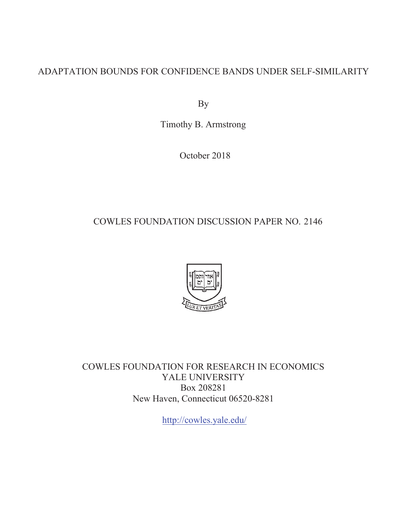# ADAPTATION BOUNDS FOR CONFIDENCE BANDS UNDER SELF-SIMILARITY

By

Timothy B. Armstrong

October 2018

# COWLES FOUNDATION DISCUSSION PAPER NO. 2146



COWLES FOUNDATION FOR RESEARCH IN ECONOMICS YALE UNIVERSITY Box 208281 New Haven, Connecticut 06520-8281

http://cowles.yale.edu/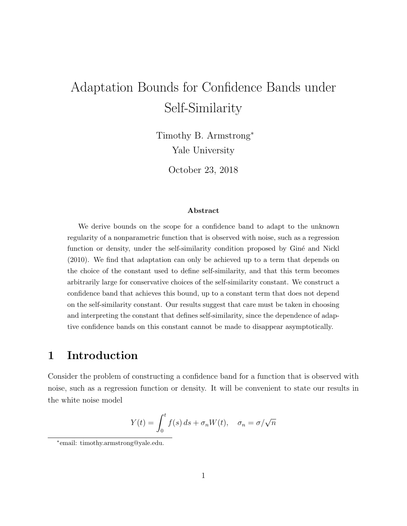# Adaptation Bounds for Confidence Bands under Self-Similarity

Timothy B. Armstrong<sup>∗</sup> Yale University

October 23, 2018

#### Abstract

We derive bounds on the scope for a confidence band to adapt to the unknown regularity of a nonparametric function that is observed with noise, such as a regression function or density, under the self-similarity condition proposed by Giné and Nickl (2010). We find that adaptation can only be achieved up to a term that depends on the choice of the constant used to define self-similarity, and that this term becomes arbitrarily large for conservative choices of the self-similarity constant. We construct a confidence band that achieves this bound, up to a constant term that does not depend on the self-similarity constant. Our results suggest that care must be taken in choosing and interpreting the constant that defines self-similarity, since the dependence of adaptive confidence bands on this constant cannot be made to disappear asymptotically.

# 1 Introduction

Consider the problem of constructing a confidence band for a function that is observed with noise, such as a regression function or density. It will be convenient to state our results in the white noise model

$$
Y(t) = \int_0^t f(s) \, ds + \sigma_n W(t), \quad \sigma_n = \sigma / \sqrt{n}
$$

<sup>∗</sup> email: timothy.armstrong@yale.edu.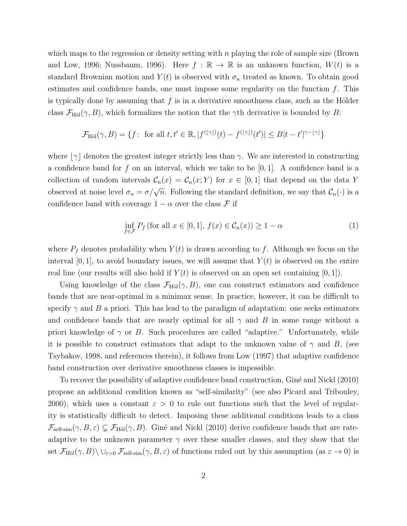which maps to the regression or density setting with  $n$  playing the role of sample size (Brown and Low, 1996; Nussbaum, 1996). Here  $f : \mathbb{R} \to \mathbb{R}$  is an unknown function,  $W(t)$  is a standard Brownian motion and  $Y(t)$  is observed with  $\sigma_n$  treated as known. To obtain good estimates and confidence bands, one must impose some regularity on the function  $f$ . This is typically done by assuming that f is in a derivative smoothness class, such as the Hölder class  $\mathcal{F}_{\text{H\"ol}}(\gamma, B)$ , which formalizes the notion that the  $\gamma$ th derivative is bounded by B:

$$
\mathcal{F}_{\text{H\"{o}l}}(\gamma, B) = \{ f: \text{ for all } t, t' \in \mathbb{R}, |f^{(\lfloor \gamma \rfloor)}(t) - f^{(\lfloor \gamma \rfloor)}(t')| \leq B|t - t'|^{\gamma - \lfloor \gamma \rfloor} \}
$$

where  $|\gamma|$  denotes the greatest integer strictly less than  $\gamma$ . We are interested in constructing a confidence band for f on an interval, which we take to be  $[0, 1]$ . A confidence band is a collection of random intervals  $\mathcal{C}_n(x) = \mathcal{C}_n(x; Y)$  for  $x \in [0, 1]$  that depend on the data Y observed at noise level  $\sigma_n = \sigma/\sqrt{n}$ . Following the standard definition, we say that  $\mathcal{C}_n(\cdot)$  is a confidence band with coverage  $1 - \alpha$  over the class F if

$$
\inf_{f \in \mathcal{F}} P_f \text{ (for all } x \in [0, 1], f(x) \in C_n(x) \ge 1 - \alpha \tag{1}
$$

where  $P_f$  denotes probability when  $Y(t)$  is drawn according to f. Although we focus on the interval  $[0, 1]$ , to avoid boundary issues, we will assume that  $Y(t)$  is observed on the entire real line (our results will also hold if  $Y(t)$  is observed on an open set containing  $[0, 1]$ ).

Using knowledge of the class  $\mathcal{F}_{\text{H\"ol}}(\gamma, B)$ , one can construct estimators and confidence bands that are near-optimal in a minimax sense. In practice, however, it can be difficult to specify  $\gamma$  and B a priori. This has lead to the paradigm of adaptation: one seeks estimators and confidence bands that are nearly optimal for all  $\gamma$  and B in some range without a priori knowledge of  $\gamma$  or B. Such procedures are called "adaptive." Unfortunately, while it is possible to construct estimators that adapt to the unknown value of  $\gamma$  and B, (see Tsybakov, 1998, and references therein), it follows from Low (1997) that adaptive confidence band construction over derivative smoothness classes is impossible.

To recover the possibility of adaptive confidence band construction, Giné and Nickl (2010) propose an additional condition known as "self-similarity" (see also Picard and Tribouley, 2000), which uses a constant  $\varepsilon > 0$  to rule out functions such that the level of regularity is statistically difficult to detect. Imposing these additional conditions leads to a class  $\mathcal{F}_{\text{self-sim}}(\gamma, B, \varepsilon) \subsetneq \mathcal{F}_{\text{H\"ol}}(\gamma, B)$ . Giné and Nickl (2010) derive confidence bands that are rateadaptive to the unknown parameter  $\gamma$  over these smaller classes, and they show that the set  $\mathcal{F}_{\text{H\"ol}}(\gamma, B) \setminus \cup_{\varepsilon > 0} \mathcal{F}_{\text{self-sim}}(\gamma, B, \varepsilon)$  of functions ruled out by this assumption (as  $\varepsilon \to 0$ ) is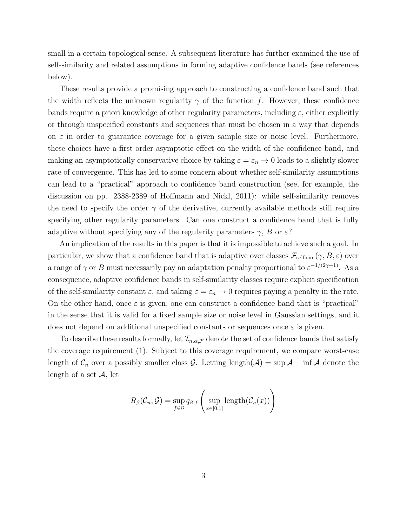small in a certain topological sense. A subsequent literature has further examined the use of self-similarity and related assumptions in forming adaptive confidence bands (see references below).

These results provide a promising approach to constructing a confidence band such that the width reflects the unknown regularity  $\gamma$  of the function f. However, these confidence bands require a priori knowledge of other regularity parameters, including  $\varepsilon$ , either explicitly or through unspecified constants and sequences that must be chosen in a way that depends on  $\varepsilon$  in order to guarantee coverage for a given sample size or noise level. Furthermore, these choices have a first order asymptotic effect on the width of the confidence band, and making an asymptotically conservative choice by taking  $\varepsilon = \varepsilon_n \to 0$  leads to a slightly slower rate of convergence. This has led to some concern about whether self-similarity assumptions can lead to a "practical" approach to confidence band construction (see, for example, the discussion on pp. 2388-2389 of Hoffmann and Nickl, 2011): while self-similarity removes the need to specify the order  $\gamma$  of the derivative, currently available methods still require specifying other regularity parameters. Can one construct a confidence band that is fully adaptive without specifying any of the regularity parameters  $\gamma$ , B or  $\varepsilon$ ?

An implication of the results in this paper is that it is impossible to achieve such a goal. In particular, we show that a confidence band that is adaptive over classes  $\mathcal{F}_{\text{self-sim}}(\gamma, B, \varepsilon)$  over a range of  $\gamma$  or B must necessarily pay an adaptation penalty proportional to  $\varepsilon^{-1/(2\gamma+1)}$ . As a consequence, adaptive confidence bands in self-similarity classes require explicit specification of the self-similarity constant  $\varepsilon$ , and taking  $\varepsilon = \varepsilon_n \to 0$  requires paying a penalty in the rate. On the other hand, once  $\varepsilon$  is given, one can construct a confidence band that is "practical" in the sense that it is valid for a fixed sample size or noise level in Gaussian settings, and it does not depend on additional unspecified constants or sequences once  $\varepsilon$  is given.

To describe these results formally, let  $\mathcal{I}_{n,\alpha,\mathcal{F}}$  denote the set of confidence bands that satisfy the coverage requirement (1). Subject to this coverage requirement, we compare worst-case length of  $\mathcal{C}_n$  over a possibly smaller class G. Letting length( $\mathcal{A}$ ) = sup  $\mathcal{A}$  – inf  $\mathcal{A}$  denote the length of a set  $\mathcal{A}$ , let

$$
R_{\beta}(\mathcal{C}_n; \mathcal{G}) = \sup_{f \in \mathcal{G}} q_{\beta, f} \left( \sup_{x \in [0,1]} \text{length}(\mathcal{C}_n(x)) \right)
$$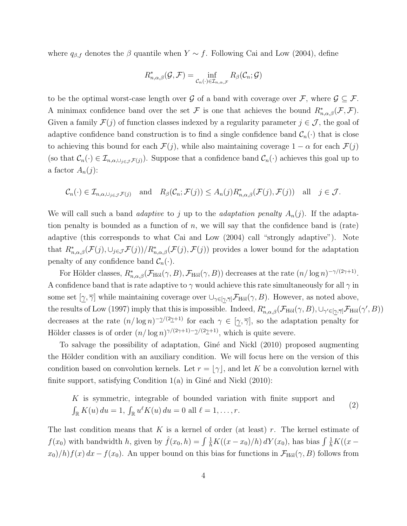where  $q_{\beta,f}$  denotes the  $\beta$  quantile when  $Y \sim f$ . Following Cai and Low (2004), define

$$
R_{n,\alpha,\beta}^*(\mathcal{G},\mathcal{F})=\inf_{\mathcal{C}_n(\cdot)\in\mathcal{I}_{n,\alpha,\mathcal{F}}}R_\beta(\mathcal{C}_n;\mathcal{G})
$$

to be the optimal worst-case length over G of a band with coverage over F, where  $\mathcal{G} \subset \mathcal{F}$ . A minimax confidence band over the set F is one that achieves the bound  $R^*_{n,\alpha,\beta}(\mathcal{F},\mathcal{F})$ . Given a family  $\mathcal{F}(j)$  of function classes indexed by a regularity parameter  $j \in \mathcal{J}$ , the goal of adaptive confidence band construction is to find a single confidence band  $\mathcal{C}_n(\cdot)$  that is close to achieving this bound for each  $\mathcal{F}(j)$ , while also maintaining coverage  $1 - \alpha$  for each  $\mathcal{F}(j)$ (so that  $\mathcal{C}_n(\cdot) \in \mathcal{I}_{n,\alpha,\cup_{j\in\mathcal{J}}\mathcal{F}(j)}$ ). Suppose that a confidence band  $\mathcal{C}_n(\cdot)$  achieves this goal up to a factor  $A_n(j)$ :

$$
\mathcal{C}_n(\cdot) \in \mathcal{I}_{n,\alpha,\cup_{j\in\mathcal{J}}\mathcal{F}(j)}
$$
 and  $R_\beta(\mathcal{C}_n;\mathcal{F}(j)) \leq A_n(j)R_{n,\alpha,\beta}^*(\mathcal{F}(j),\mathcal{F}(j))$  all  $j \in \mathcal{J}$ .

We will call such a band *adaptive* to j up to the *adaptation penalty*  $A_n(j)$ . If the adaptation penalty is bounded as a function of  $n$ , we will say that the confidence band is (rate) adaptive (this corresponds to what Cai and Low (2004) call "strongly adaptive"). Note that  $R^*_{n,\alpha,\beta}(\mathcal{F}(j),\cup_{j\in\mathcal{J}}\mathcal{F}(j))/R^*_{n,\alpha,\beta}(\mathcal{F}(j),\mathcal{F}(j))$  provides a lower bound for the adaptation penalty of any confidence band  $\mathcal{C}_n(\cdot)$ .

For Hölder classes,  $R_{n,\alpha,\beta}^*(\mathcal{F}_{\text{H\"ol}}(\gamma,B),\mathcal{F}_{\text{H\"ol}}(\gamma,B))$  decreases at the rate  $(n/\log n)^{-\gamma/(2\gamma+1)}$ . A confidence band that is rate adaptive to  $\gamma$  would achieve this rate simultaneously for all  $\gamma$  in some set  $[\gamma, \overline{\gamma}]$  while maintaining coverage over  $\cup_{\gamma \in [\gamma, \overline{\gamma}]} \mathcal{F}_{\text{H\"ol}}(\gamma, B)$ . However, as noted above, the results of Low (1997) imply that this is impossible. Indeed,  $R^*_{n,\alpha,\beta}(\mathcal{F}_{\text{H\"ol}}(\gamma,B), \cup_{\gamma' \in [\gamma,\overline{\gamma}]} \mathcal{F}_{\text{H\"ol}}(\gamma',B))$ decreases at the rate  $(n/\log n)^{-\gamma/(2\gamma+1)}$  for each  $\gamma \in [\gamma,\overline{\gamma}]$ , so the adaptation penalty for Hölder classes is of order  $(n/\log n)^{\gamma/(2\gamma+1)-\gamma/(2\gamma+1)}$ , which is quite severe.

To salvage the possibility of adaptation, Giné and Nickl (2010) proposed augmenting the Hölder condition with an auxiliary condition. We will focus here on the version of this condition based on convolution kernels. Let  $r = |\gamma|$ , and let K be a convolution kernel with finite support, satisfying Condition  $1(a)$  in Giné and Nickl (2010):

K is symmetric, integrable of bounded variation with finite support and  
\n
$$
\int_{\mathbb{R}} K(u) du = 1, \int_{\mathbb{R}} u^{\ell} K(u) du = 0 \text{ all } \ell = 1, ..., r.
$$
\n(2)

The last condition means that K is a kernel of order (at least) r. The kernel estimate of  $f(x_0)$  with bandwidth h, given by  $\hat{f}(x_0, h) = \int \frac{1}{h} K((x - x_0)/h) dY(x_0)$ , has bias  $\int \frac{1}{h} K((x - x_0)/h) dY(x_0)$  $x_0$ /h) $f(x) dx - f(x_0)$ . An upper bound on this bias for functions in  $\mathcal{F}_{\text{H\"ol}}(\gamma, B)$  follows from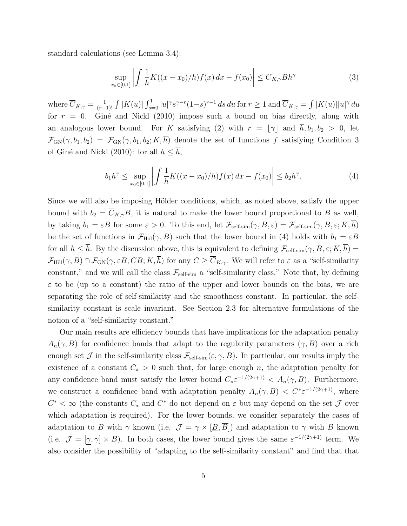standard calculations (see Lemma 3.4):

 $\boldsymbol{x}$ 

$$
\sup_{0 \in [0,1]} \left| \int \frac{1}{h} K((x - x_0)/h) f(x) dx - f(x_0) \right| \le \overline{C}_{K,\gamma} B h^{\gamma}
$$
 (3)

where  $\overline{C}_{K,\gamma} = \frac{1}{(r-1)^{n}}$  $\frac{1}{(r-1)!}$   $\int |K(u)| \int_{s=0}^1 |u|^\gamma s^{\gamma-r} (1-s)^{r-1} ds du$  for  $r ≥ 1$  and  $\overline{C}_{K,\gamma} = \int |K(u)| |u|^\gamma du$ for  $r = 0$ . Giné and Nickl (2010) impose such a bound on bias directly, along with an analogous lower bound. For K satisfying (2) with  $r = \lfloor \gamma \rfloor$  and  $\bar{h}, b_1, b_2 > 0$ , let  $\mathcal{F}_{GN}(\gamma, b_1, b_2) = \mathcal{F}_{GN}(\gamma, b_1, b_2; K, \overline{h})$  denote the set of functions f satisfying Condition 3 of Giné and Nickl (2010): for all  $h \leq \overline{h}$ ,

$$
b_1 h^{\gamma} \le \sup_{x_0 \in [0,1]} \left| \int \frac{1}{h} K((x-x_0)/h) f(x) \, dx - f(x_0) \right| \le b_2 h^{\gamma}.
$$
 (4)

Since we will also be imposing Hölder conditions, which, as noted above, satisfy the upper bound with  $b_2 = \overline{C}_{K,\gamma}B$ , it is natural to make the lower bound proportional to B as well, by taking  $b_1 = \varepsilon B$  for some  $\varepsilon > 0$ . To this end, let  $\mathcal{F}_{\text{self-sim}}(\gamma, B, \varepsilon) = \mathcal{F}_{\text{self-sim}}(\gamma, B, \varepsilon; K, \overline{h})$ be the set of functions in  $\mathcal{F}_{H\ddot{o}l}(\gamma, B)$  such that the lower bound in (4) holds with  $b_1 = \varepsilon B$ for all  $h \leq \overline{h}$ . By the discussion above, this is equivalent to defining  $\mathcal{F}_{\text{self-sim}}(\gamma, B, \varepsilon; K, \overline{h}) =$  $\mathcal{F}_{\text{H\"ol}}(\gamma, B) \cap \mathcal{F}_{\text{GN}}(\gamma, \varepsilon B, CB; K, \overline{h})$  for any  $C \geq \overline{C}_{K,\gamma}$ . We will refer to  $\varepsilon$  as a "self-similarity constant," and we will call the class  $\mathcal{F}_{\text{self-sim}}$  a "self-similarity class." Note that, by defining  $\varepsilon$  to be (up to a constant) the ratio of the upper and lower bounds on the bias, we are separating the role of self-similarity and the smoothness constant. In particular, the selfsimilarity constant is scale invariant. See Section 2.3 for alternative formulations of the notion of a "self-similarity constant."

Our main results are efficiency bounds that have implications for the adaptation penalty  $A_n(\gamma, B)$  for confidence bands that adapt to the regularity parameters  $(\gamma, B)$  over a rich enough set  $\mathcal J$  in the self-similarity class  $\mathcal F_{\text{self-sim}}(\varepsilon,\gamma,B)$ . In particular, our results imply the existence of a constant  $C_* > 0$  such that, for large enough n, the adaptation penalty for any confidence band must satisfy the lower bound  $C_* \varepsilon^{-1/(2\gamma+1)} < A_n(\gamma, B)$ . Furthermore, we construct a confidence band with adaptation penalty  $A_n(\gamma, B) < C^* \varepsilon^{-1/(2\gamma+1)}$ , where  $C^* < \infty$  (the constants  $C_*$  and  $C^*$  do not depend on  $\varepsilon$  but may depend on the set  $\mathcal J$  over which adaptation is required). For the lower bounds, we consider separately the cases of adaptation to B with  $\gamma$  known (i.e.  $\mathcal{J} = \gamma \times [\underline{B}, \overline{B}]$ ) and adaptation to  $\gamma$  with B known (i.e.  $\mathcal{J} = [\gamma, \overline{\gamma}] \times B$ ). In both cases, the lower bound gives the same  $\varepsilon^{-1/(2\gamma+1)}$  term. We also consider the possibility of "adapting to the self-similarity constant" and find that that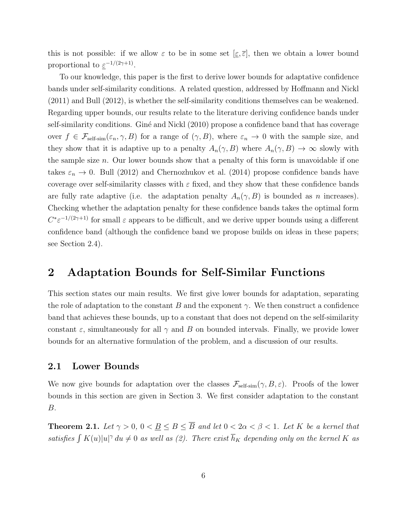this is not possible: if we allow  $\varepsilon$  to be in some set  $[\underline{\varepsilon}, \overline{\varepsilon}]$ , then we obtain a lower bound proportional to  $\underline{\varepsilon}^{-1/(2\gamma+1)}$ .

To our knowledge, this paper is the first to derive lower bounds for adaptative confidence bands under self-similarity conditions. A related question, addressed by Hoffmann and Nickl (2011) and Bull (2012), is whether the self-similarity conditions themselves can be weakened. Regarding upper bounds, our results relate to the literature deriving confidence bands under self-similarity conditions. Giné and Nickl (2010) propose a confidence band that has coverage over  $f \in \mathcal{F}_{\text{self-sim}}(\varepsilon_n, \gamma, B)$  for a range of  $(\gamma, B)$ , where  $\varepsilon_n \to 0$  with the sample size, and they show that it is adaptive up to a penalty  $A_n(\gamma, B)$  where  $A_n(\gamma, B) \to \infty$  slowly with the sample size  $n$ . Our lower bounds show that a penalty of this form is unavoidable if one takes  $\varepsilon_n \to 0$ . Bull (2012) and Chernozhukov et al. (2014) propose confidence bands have coverage over self-similarity classes with  $\varepsilon$  fixed, and they show that these confidence bands are fully rate adaptive (i.e. the adaptation penalty  $A_n(\gamma, B)$  is bounded as n increases). Checking whether the adaptation penalty for these confidence bands takes the optimal form  $C^* \varepsilon^{-1/(2\gamma+1)}$  for small  $\varepsilon$  appears to be difficult, and we derive upper bounds using a different confidence band (although the confidence band we propose builds on ideas in these papers; see Section 2.4).

# 2 Adaptation Bounds for Self-Similar Functions

This section states our main results. We first give lower bounds for adaptation, separating the role of adaptation to the constant B and the exponent  $\gamma$ . We then construct a confidence band that achieves these bounds, up to a constant that does not depend on the self-similarity constant  $\varepsilon$ , simultaneously for all  $\gamma$  and B on bounded intervals. Finally, we provide lower bounds for an alternative formulation of the problem, and a discussion of our results.

### 2.1 Lower Bounds

We now give bounds for adaptation over the classes  $\mathcal{F}_{\text{self-sim}}(\gamma, B, \varepsilon)$ . Proofs of the lower bounds in this section are given in Section 3. We first consider adaptation to the constant B.

**Theorem 2.1.** Let  $\gamma > 0$ ,  $0 < \underline{B} \leq B \leq \overline{B}$  and let  $0 < 2\alpha < \beta < 1$ . Let K be a kernel that satisfies  $\int K(u)|u|^\gamma\,du \neq 0$  as well as (2). There exist  $\overline{h}_K$  depending only on the kernel K as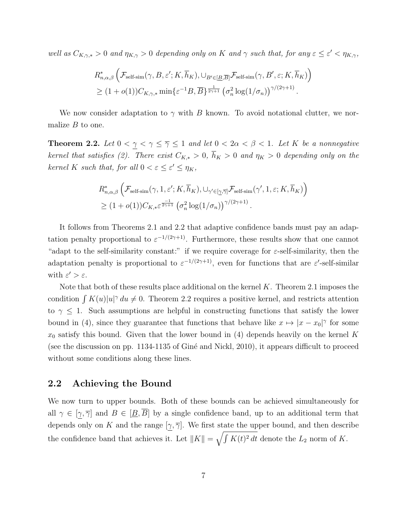well as  $C_{K,\gamma,*} > 0$  and  $\eta_{K,\gamma} > 0$  depending only on K and  $\gamma$  such that, for any  $\varepsilon \leq \varepsilon' < \eta_{K,\gamma}$ ,

$$
R_{n,\alpha,\beta}^{*}\left(\mathcal{F}_{\text{self-sim}}(\gamma,B,\varepsilon';K,\overline{h}_{K}),\cup_{B'\in[\underline{B},\overline{B}]}\mathcal{F}_{\text{self-sim}}(\gamma,B',\varepsilon;K,\overline{h}_{K})\right) \geq (1+o(1))C_{K,\gamma,*}\min\{\varepsilon^{-1}B,\overline{B}\}^{\frac{1}{2\gamma+1}}\left(\sigma_{n}^{2}\log(1/\sigma_{n})\right)^{\gamma/(2\gamma+1)}.
$$

We now consider adaptation to  $\gamma$  with B known. To avoid notational clutter, we normalize  $B$  to one.

**Theorem 2.2.** Let  $0 < \gamma < \gamma \leq \overline{\gamma} \leq 1$  and let  $0 < 2\alpha < \beta < 1$ . Let K be a nonnegative kernel that satisfies (2). There exist  $C_{K,*} > 0$ ,  $\overline{h}_K > 0$  and  $\eta_K > 0$  depending only on the kernel K such that, for all  $0 < \varepsilon \leq \varepsilon' \leq \eta_K$ ,

$$
R_{n,\alpha,\beta}^{*}\left(\mathcal{F}_{\text{self-sim}}(\gamma,1,\varepsilon';K,\overline{h}_{K}),\cup_{\gamma'\in[\underline{\gamma},\overline{\gamma}]}\mathcal{F}_{\text{self-sim}}(\gamma',1,\varepsilon;K,\overline{h}_{K})\right) \geq (1+o(1))C_{K,*}\varepsilon^{\frac{-1}{2\gamma+1}}\left(\sigma_{n}^{2}\log(1/\sigma_{n})\right)^{\gamma/(2\gamma+1)}.
$$

It follows from Theorems 2.1 and 2.2 that adaptive confidence bands must pay an adaptation penalty proportional to  $\varepsilon^{-1/(2\gamma+1)}$ . Furthermore, these results show that one cannot "adapt to the self-similarity constant:" if we require coverage for  $\varepsilon$ -self-similarity, then the adaptation penalty is proportional to  $\varepsilon^{-1/(2\gamma+1)}$ , even for functions that are  $\varepsilon'$ -self-similar with  $\varepsilon' > \varepsilon$ .

Note that both of these results place additional on the kernel  $K$ . Theorem 2.1 imposes the condition  $\int K(u)|u|^\gamma du \neq 0$ . Theorem 2.2 requires a positive kernel, and restricts attention to  $\gamma \leq 1$ . Such assumptions are helpful in constructing functions that satisfy the lower bound in (4), since they guarantee that functions that behave like  $x \mapsto |x - x_0|^\gamma$  for some  $x_0$  satisfy this bound. Given that the lower bound in (4) depends heavily on the kernel K (see the discussion on pp. 1134-1135 of Giné and Nickl, 2010), it appears difficult to proceed without some conditions along these lines.

### 2.2 Achieving the Bound

We now turn to upper bounds. Both of these bounds can be achieved simultaneously for all  $\gamma \in [\gamma, \overline{\gamma}]$  and  $B \in [\underline{B}, \overline{B}]$  by a single confidence band, up to an additional term that depends only on K and the range  $[\gamma, \overline{\gamma}]$ . We first state the upper bound, and then describe the confidence band that achieves it. Let  $||K|| = \sqrt{\int K(t)^2 dt}$  denote the  $L_2$  norm of K.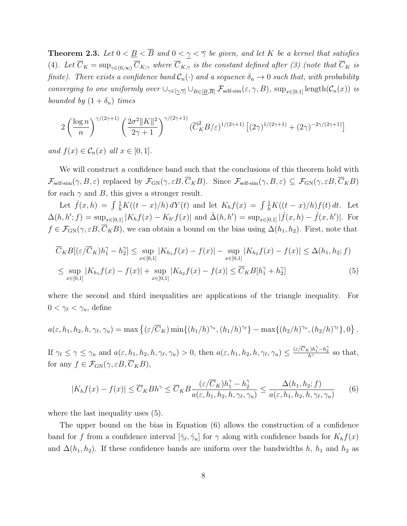**Theorem 2.3.** Let  $0 < \underline{B} < \overline{B}$  and  $0 < \underline{\gamma} < \overline{\gamma}$  be given, and let K be a kernel that satisfies (4). Let  $\overline{C}_K = \sup_{\gamma \in (0,\infty)} \overline{C}_{K,\gamma}$  where  $\overline{C}_{K,\gamma}$  is the constant defined after (3) (note that  $\overline{C}_K$  is finite). There exists a confidence band  $C_n(\cdot)$  and a sequence  $\delta_n \to 0$  such that, with probability converging to one uniformly over  $\cup_{\gamma \in [\gamma, \overline{\gamma}]} \cup_{B \in [B, \overline{B}]} \mathcal{F}_{\text{self-sim}}(\varepsilon, \gamma, B)$ ,  $\sup_{x \in [0,1]} \text{length}(\mathcal{C}_n(x))$  is bounded by  $(1 + \delta_n)$  times

$$
2\left(\frac{\log n}{n}\right)^{\gamma/(2\gamma+1)} \left(\frac{2\sigma^2 \|K\|^2}{2\gamma+1}\right)^{\gamma/(2\gamma+1)} \left(\overline{C}_K^2 B/\varepsilon\right)^{1/(2\gamma+1)} \left[(2\gamma)^{1/(2\gamma+1)} + (2\gamma)^{-2\gamma/(2\gamma+1)}\right]
$$

and  $f(x) \in \mathcal{C}_n(x)$  all  $x \in [0,1]$ .

We will construct a confidence band such that the conclusions of this theorem hold with  $\mathcal{F}_{\text{self-sim}}(\gamma, B, \varepsilon)$  replaced by  $\mathcal{F}_{\text{GN}}(\gamma, \varepsilon B, \overline{C}_K B)$ . Since  $\mathcal{F}_{\text{self-sim}}(\gamma, B, \varepsilon) \subseteq \mathcal{F}_{\text{GN}}(\gamma, \varepsilon B, \overline{C}_K B)$ for each  $\gamma$  and B, this gives a stronger result.

Let  $\hat{f}(x,h) = \int \frac{1}{h} K((t-x)/h) dY(t)$  and let  $K_h f(x) = \int \frac{1}{h} K((t-x)/h) f(t) dt$ . Let  $\Delta(h, h'; f) = \sup_{x \in [0,1]} |K_h f(x) - K_{h'} f(x)|$  and  $\hat{\Delta}(h, h') = \sup_{x \in [0,1]} |\hat{f}(x, h) - \hat{f}(x, h')|$ . For  $f \in \mathcal{F}_{GN}(\gamma, \varepsilon B, \overline{C}_K B)$ , we can obtain a bound on the bias using  $\Delta(h_1, h_2)$ . First, note that

$$
\overline{C}_{K}B[(\varepsilon/\overline{C}_{K})h_{1}^{\gamma}-h_{2}^{\gamma}] \leq \sup_{x\in[0,1]}|K_{h_{1}}f(x)-f(x)| - \sup_{x\in[0,1]}|K_{h_{2}}f(x)-f(x)| \leq \Delta(h_{1}, h_{2}; f)
$$
\n
$$
\leq \sup_{x\in[0,1]}|K_{h_{1}}f(x)-f(x)| + \sup_{x\in[0,1]}|K_{h_{2}}f(x)-f(x)| \leq \overline{C}_{K}B[h_{1}^{\gamma}+h_{2}^{\gamma}] \tag{5}
$$

where the second and third inequalities are applications of the triangle inequality. For  $0 < \gamma_{\ell} < \gamma_{u}$ , define

$$
a(\varepsilon,h_1,h_2,h,\gamma_\ell,\gamma_u)=\max\left\{(\varepsilon/\overline{C}_K)\min\{(h_1/h)^{\gamma_u},(h_1/h)^{\gamma_\ell}\}-\max\{(h_2/h)^{\gamma_u},(h_2/h)^{\gamma_\ell}\},0\right\}.
$$

If  $\gamma_{\ell} \leq \gamma \leq \gamma_u$  and  $a(\varepsilon, h_1, h_2, h, \gamma_{\ell}, \gamma_u) > 0$ , then  $a(\varepsilon, h_1, h_2, h, \gamma_{\ell}, \gamma_u) \leq \frac{(\varepsilon/\overline{C_K})h_1^{\gamma} - h_2^{\gamma}}{h^{\gamma}}$  so that, for any  $f \in \mathcal{F}_{GN}(\gamma, \varepsilon B, \overline{C}_K B),$ 

$$
|K_h f(x) - f(x)| \le \overline{C}_K B h^{\gamma} \le \overline{C}_K B \frac{(\varepsilon/\overline{C}_K) h_1^{\gamma} - h_2^{\gamma}}{a(\varepsilon, h_1, h_2, h, \gamma_{\ell}, \gamma_u)} \le \frac{\Delta(h_1, h_2; f)}{a(\varepsilon, h_1, h_2, h, \gamma_{\ell}, \gamma_u)}
$$
(6)

where the last inequality uses (5).

The upper bound on the bias in Equation (6) allows the construction of a confidence band for f from a confidence interval  $[\hat{\gamma}_{\ell}, \hat{\gamma}_{u}]$  for  $\gamma$  along with confidence bands for  $K_h f(x)$ and  $\Delta(h_1, h_2)$ . If these confidence bands are uniform over the bandwidths h,  $h_1$  and  $h_2$  as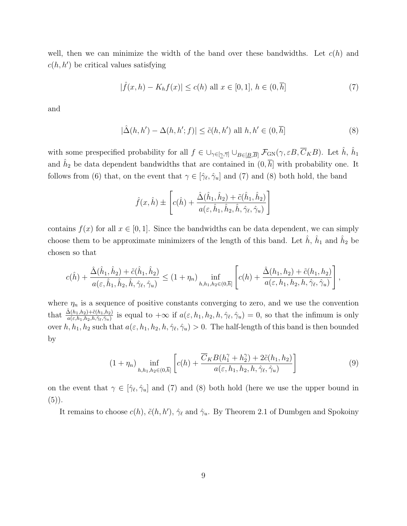well, then we can minimize the width of the band over these bandwidths. Let  $c(h)$  and  $c(h, h')$  be critical values satisfying

$$
|\hat{f}(x,h) - K_h f(x)| \le c(h) \text{ all } x \in [0,1], h \in (0,\overline{h}]
$$
 (7)

and

$$
|\hat{\Delta}(h, h') - \Delta(h, h'; f)| \le \tilde{c}(h, h') \text{ all } h, h' \in (0, \overline{h}]
$$
\n(8)

with some prespecified probability for all  $f \in \bigcup_{\gamma \in [\underline{\gamma}, \overline{\gamma}]} \bigcup_{B \in [\underline{B}, \overline{B}]} \mathcal{F}_{GN}(\gamma, \varepsilon B, \overline{C}_K B)$ . Let  $\hat{h}, \hat{h}_1$ and  $\hat{h}_2$  be data dependent bandwidths that are contained in  $(0, \overline{h}]$  with probability one. It follows from (6) that, on the event that  $\gamma \in [\hat{\gamma}_{\ell}, \hat{\gamma}_u]$  and (7) and (8) both hold, the band

$$
\hat{f}(x,\hat{h}) \pm \left[c(\hat{h}) + \frac{\hat{\Delta}(\hat{h}_1, \hat{h}_2) + \tilde{c}(\hat{h}_1, \hat{h}_2)}{a(\varepsilon, \hat{h}_1, \hat{h}_2, \hat{h}, \hat{\gamma}_{\ell}, \hat{\gamma}_{u})}\right]
$$

contains  $f(x)$  for all  $x \in [0, 1]$ . Since the bandwidths can be data dependent, we can simply choose them to be approximate minimizers of the length of this band. Let  $\hat{h}$ ,  $\hat{h}_1$  and  $\hat{h}_2$  be chosen so that

$$
c(\hat{h}) + \frac{\hat{\Delta}(\hat{h}_1, \hat{h}_2) + \tilde{c}(\hat{h}_1, \hat{h}_2)}{a(\varepsilon, \hat{h}_1, \hat{h}_2, \hat{h}, \hat{\gamma}_{\ell}, \hat{\gamma}_u)} \le (1 + \eta_n) \inf_{h, h_1, h_2 \in (0, \overline{h}]} \left[ c(h) + \frac{\hat{\Delta}(h_1, h_2) + \tilde{c}(h_1, h_2)}{a(\varepsilon, h_1, h_2, h, \hat{\gamma}_{\ell}, \hat{\gamma}_u)} \right],
$$

where  $\eta_n$  is a sequence of positive constants converging to zero, and we use the convention that  $\frac{\hat{\Delta}(h_1,h_2)+\tilde{c}(h_1,h_2)}{a(\varepsilon,h_1,h_2,h,\hat{\gamma}_\ell,\hat{\gamma}_u)}$  is equal to  $+\infty$  if  $a(\varepsilon,h_1,h_2,h,\hat{\gamma}_\ell,\hat{\gamma}_u)=0$ , so that the infimum is only over  $h, h_1, h_2$  such that  $a(\varepsilon, h_1, h_2, h, \hat{\gamma}_\ell, \hat{\gamma}_u) > 0$ . The half-length of this band is then bounded by

$$
(1+\eta_n)\inf_{h,h_1,h_2\in(0,\overline{h}]}\left[c(h)+\frac{\overline{C}_KB(h_1^{\gamma}+h_2^{\gamma})+2\tilde{c}(h_1,h_2)}{a(\varepsilon,h_1,h_2,h,\hat{\gamma}_{\ell},\hat{\gamma}_{u})}\right]
$$
(9)

on the event that  $\gamma \in [\hat{\gamma}_{\ell}, \hat{\gamma}_{u}]$  and (7) and (8) both hold (here we use the upper bound in  $(5)$ ).

It remains to choose  $c(h)$ ,  $\tilde{c}(h, h')$ ,  $\hat{\gamma}_{\ell}$  and  $\hat{\gamma}_{u}$ . By Theorem 2.1 of Dumbgen and Spokoiny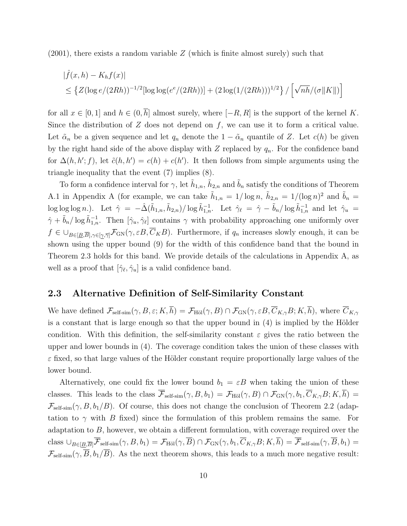$(2001)$ , there exists a random variable Z (which is finite almost surely) such that

$$
|\hat{f}(x,h) - K_h f(x)|
$$
  
\$\leq \{Z(\log e/(2Rh))^{-1/2}[\log \log(e^e/(2Rh))] + (2 \log(1/(2Rh)))^{1/2}\} / [\sqrt{nh}/(\sigma ||K||)]\$

for all  $x \in [0,1]$  and  $h \in (0,\overline{h}]$  almost surely, where  $[-R, R]$  is the support of the kernel K. Since the distribution of  $Z$  does not depend on  $f$ , we can use it to form a critical value. Let  $\tilde{\alpha}_n$  be a given sequence and let  $q_n$  denote the  $1 - \tilde{\alpha}_n$  quantile of Z. Let  $c(h)$  be given by the right hand side of the above display with  $Z$  replaced by  $q_n$ . For the confidence band for  $\Delta(h, h'; f)$ , let  $\tilde{c}(h, h') = c(h) + c(h')$ . It then follows from simple arguments using the triangle inequality that the event (7) implies (8).

To form a confidence interval for  $\gamma$ , let  $\tilde{h}_{1,n}$ ,  $\tilde{h}_{2,n}$  and  $\tilde{b}_n$  satisfy the conditions of Theorem A.1 in Appendix A (for example, we can take  $\tilde{h}_{1,n} = 1/\log n$ ,  $\tilde{h}_{2,n} = 1/(\log n)^2$  and  $\tilde{b}_n =$  $\log \log \log n$ .). Let  $\hat{\gamma} = -\hat{\Delta}(\tilde{h}_{1,n}, \tilde{h}_{2,n})/\log \tilde{h}_{1,n}^{-1}$ . Let  $\hat{\gamma}_\ell = \hat{\gamma} - \tilde{b}_n/\log \tilde{h}_{1,n}^{-1}$  and let  $\hat{\gamma}_u =$  $\hat{\gamma} + \tilde{b}_n / \log \tilde{h}_{1,n}^{-1}$ . Then  $[\hat{\gamma}_u, \hat{\gamma}_l]$  contains  $\gamma$  with probability approaching one uniformly over  $f \in \bigcup_{B \in [\underline{B},\overline{B}], \gamma \in [\gamma,\overline{\gamma}]} \mathcal{F}_{\text{GN}}(\gamma, \varepsilon B, \overline{C}_K B)$ . Furthermore, if  $q_n$  increases slowly enough, it can be shown using the upper bound (9) for the width of this confidence band that the bound in Theorem 2.3 holds for this band. We provide details of the calculations in Appendix A, as well as a proof that  $[\hat{\gamma}_{\ell}, \hat{\gamma}_{u}]$  is a valid confidence band.

## 2.3 Alternative Definition of Self-Similarity Constant

We have defined  $\mathcal{F}_{\text{self-sim}}(\gamma, B, \varepsilon; K, \overline{h}) = \mathcal{F}_{\text{H\"ol}}(\gamma, B) \cap \mathcal{F}_{\text{GN}}(\gamma, \varepsilon B, \overline{C}_{K,\gamma}B; K, \overline{h})$ , where  $\overline{C}_{K,\gamma}$ is a constant that is large enough so that the upper bound in  $(4)$  is implied by the Hölder condition. With this definition, the self-similarity constant  $\varepsilon$  gives the ratio between the upper and lower bounds in (4). The coverage condition takes the union of these classes with  $\varepsilon$  fixed, so that large values of the Hölder constant require proportionally large values of the lower bound.

Alternatively, one could fix the lower bound  $b_1 = \varepsilon B$  when taking the union of these classes. This leads to the class  $\overline{\mathcal{F}}_{\text{self-sim}}(\gamma, B, b_1) = \mathcal{F}_{\text{Höl}}(\gamma, B) \cap \mathcal{F}_{\text{GN}}(\gamma, b_1, \overline{C}_{K,\gamma}B; K, \overline{h}) =$  $\mathcal{F}_{\text{self-sim}}(\gamma, B, b_1/B)$ . Of course, this does not change the conclusion of Theorem 2.2 (adaptation to  $\gamma$  with B fixed) since the formulation of this problem remains the same. For adaptation to  $B$ , however, we obtain a different formulation, with coverage required over the class  $\cup_{B\in[\underline{B},\overline{B}]} \overline{\mathcal{F}}_{\text{self-sim}}(\gamma,B,b_1) = \mathcal{F}_{\text{H\"ol}}(\gamma,\overline{B}) \cap \mathcal{F}_{\text{GN}}(\gamma,b_1,\overline{C}_{K,\gamma}B;K,\overline{h}) = \overline{\mathcal{F}}_{\text{self-sim}}(\gamma,\overline{B},b_1) =$  $\mathcal{F}_{\text{self-sim}}(\gamma, \overline{B}, b_1/\overline{B})$ . As the next theorem shows, this leads to a much more negative result: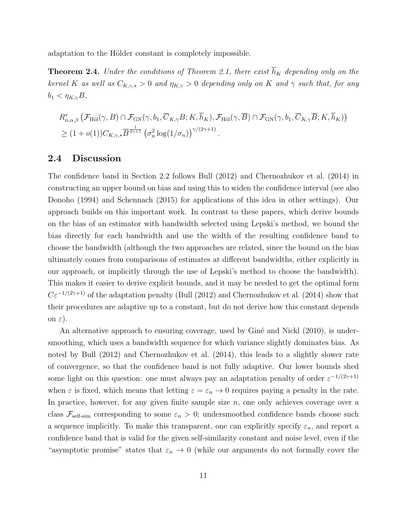adaptation to the Hölder constant is completely impossible.

**Theorem 2.4.** Under the conditions of Theorem 2.1, there exist  $\overline{h}_K$  depending only on the kernel K as well as  $C_{K,\gamma,*} > 0$  and  $\eta_{K,\gamma} > 0$  depending only on K and  $\gamma$  such that, for any  $b_1 < \eta_{K,\gamma} B$ ,

$$
R_{n,\alpha,\beta}^{*}\left(\mathcal{F}_{\mathrm{H\ddot{o}l}}(\gamma,B)\cap\mathcal{F}_{\mathrm{GN}}(\gamma,b_{1},\overline{C}_{K,\gamma}B;K,\overline{h}_{K}),\mathcal{F}_{\mathrm{H\ddot{o}l}}(\gamma,\overline{B})\cap\mathcal{F}_{\mathrm{GN}}(\gamma,b_{1},\overline{C}_{K,\gamma}\overline{B};K,\overline{h}_{K})\right) \geq (1+o(1))C_{K,\gamma,*}\overline{B}^{\frac{1}{2\gamma+1}}\left(\sigma_{n}^{2}\log(1/\sigma_{n})\right)^{\gamma/(2\gamma+1)}.
$$

### 2.4 Discussion

The confidence band in Section 2.2 follows Bull (2012) and Chernozhukov et al. (2014) in constructing an upper bound on bias and using this to widen the confidence interval (see also Donoho (1994) and Schennach (2015) for applications of this idea in other settings). Our approach builds on this important work. In contrast to these papers, which derive bounds on the bias of an estimator with bandwidth selected using Lepski's method, we bound the bias directly for each bandwidth and use the width of the resulting confidence band to choose the bandwidth (although the two approaches are related, since the bound on the bias ultimately comes from comparisons of estimates at different bandwidths, either explicitly in our approach, or implicitly through the use of Lepski's method to choose the bandwidth). This makes it easier to derive explicit bounds, and it may be needed to get the optimal form  $C\varepsilon^{-1/(2\gamma+1)}$  of the adaptation penalty (Bull (2012) and Chernozhukov et al. (2014) show that their procedures are adaptive up to a constant, but do not derive how this constant depends on  $\varepsilon$ ).

An alternative approach to ensuring coverage, used by Giné and Nickl (2010), is undersmoothing, which uses a bandwidth sequence for which variance slightly dominates bias. As noted by Bull (2012) and Chernozhukov et al. (2014), this leads to a slightly slower rate of convergence, so that the confidence band is not fully adaptive. Our lower bounds shed some light on this question: one must always pay an adaptation penalty of order  $\varepsilon^{-1/(2\gamma+1)}$ when  $\varepsilon$  is fixed, which means that letting  $\varepsilon = \varepsilon_n \to 0$  requires paying a penalty in the rate. In practice, however, for any given finite sample size  $n$ , one only achieves coverage over a class  $\mathcal{F}_{\text{self-sim}}$  corresponding to some  $\varepsilon_n > 0$ ; undersmoothed confidence bands choose such a sequence implicitly. To make this transparent, one can explicitly specify  $\varepsilon_n$ , and report a confidence band that is valid for the given self-similarity constant and noise level, even if the "asymptotic promise" states that  $\varepsilon_n \to 0$  (while our arguments do not formally cover the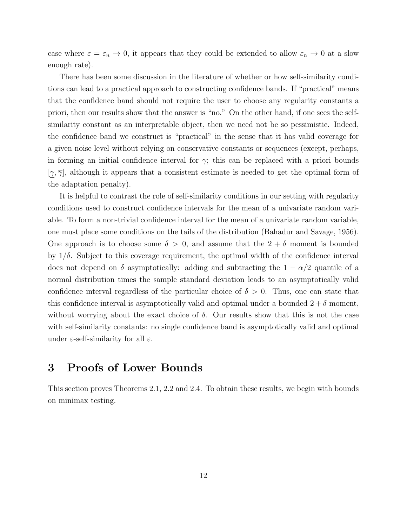case where  $\varepsilon = \varepsilon_n \to 0$ , it appears that they could be extended to allow  $\varepsilon_n \to 0$  at a slow enough rate).

There has been some discussion in the literature of whether or how self-similarity conditions can lead to a practical approach to constructing confidence bands. If "practical" means that the confidence band should not require the user to choose any regularity constants a priori, then our results show that the answer is "no." On the other hand, if one sees the selfsimilarity constant as an interpretable object, then we need not be so pessimistic. Indeed, the confidence band we construct is "practical" in the sense that it has valid coverage for a given noise level without relying on conservative constants or sequences (except, perhaps, in forming an initial confidence interval for  $\gamma$ ; this can be replaced with a priori bounds  $[\gamma, \overline{\gamma}]$ , although it appears that a consistent estimate is needed to get the optimal form of the adaptation penalty).

It is helpful to contrast the role of self-similarity conditions in our setting with regularity conditions used to construct confidence intervals for the mean of a univariate random variable. To form a non-trivial confidence interval for the mean of a univariate random variable, one must place some conditions on the tails of the distribution (Bahadur and Savage, 1956). One approach is to choose some  $\delta > 0$ , and assume that the  $2 + \delta$  moment is bounded by  $1/\delta$ . Subject to this coverage requirement, the optimal width of the confidence interval does not depend on  $\delta$  asymptotically: adding and subtracting the  $1 - \alpha/2$  quantile of a normal distribution times the sample standard deviation leads to an asymptotically valid confidence interval regardless of the particular choice of  $\delta > 0$ . Thus, one can state that this confidence interval is asymptotically valid and optimal under a bounded  $2 + \delta$  moment, without worrying about the exact choice of  $\delta$ . Our results show that this is not the case with self-similarity constants: no single confidence band is asymptotically valid and optimal under  $\varepsilon$ -self-similarity for all  $\varepsilon$ .

# 3 Proofs of Lower Bounds

This section proves Theorems 2.1, 2.2 and 2.4. To obtain these results, we begin with bounds on minimax testing.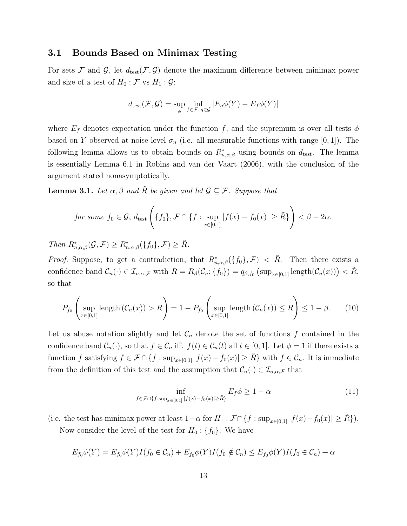### 3.1 Bounds Based on Minimax Testing

For sets F and G, let  $d_{test}(\mathcal{F}, \mathcal{G})$  denote the maximum difference between minimax power and size of a test of  $H_0 : \mathcal{F}$  vs  $H_1 : \mathcal{G}$ :

$$
d_{\text{test}}(\mathcal{F}, \mathcal{G}) = \sup_{\phi} \inf_{f \in \mathcal{F}, g \in \mathcal{G}} |E_g \phi(Y) - E_f \phi(Y)|
$$

where  $E_f$  denotes expectation under the function f, and the supremum is over all tests  $\phi$ based on Y observed at noise level  $\sigma_n$  (i.e. all measurable functions with range [0, 1]). The following lemma allows us to obtain bounds on  $R^*_{n,\alpha,\beta}$  using bounds on  $d_{\text{test}}$ . The lemma is essentially Lemma 6.1 in Robins and van der Vaart (2006), with the conclusion of the argument stated nonasymptotically.

**Lemma 3.1.** Let  $\alpha, \beta$  and R be given and let  $\mathcal{G} \subseteq \mathcal{F}$ . Suppose that

for some 
$$
f_0 \in \mathcal{G}
$$
,  $d_{\text{test}}\left(\{f_0\}, \mathcal{F} \cap \{f : \sup_{x \in [0,1]} |f(x) - f_0(x)| \ge \tilde{R}\}\right) < \beta - 2\alpha$ .

Then  $R^*_{n,\alpha,\beta}(\mathcal{G},\mathcal{F}) \geq R^*_{n,\alpha,\beta}(\lbrace f_0 \rbrace,\mathcal{F}) \geq \tilde{R}.$ 

*Proof.* Suppose, to get a contradiction, that  $R^*_{n,\alpha,\beta}(\lbrace f_0 \rbrace,\mathcal{F}) < \tilde{R}$ . Then there exists a confidence band  $\mathcal{C}_n(\cdot) \in \mathcal{I}_{n,\alpha,\mathcal{F}}$  with  $R = R_\beta(\mathcal{C}_n; \{f_0\}) = q_{\beta,f_0}(\sup_{x \in [0,1]} \text{length}(\mathcal{C}_n(x))) < \tilde{R}$ , so that

$$
P_{f_0}\left(\sup_{x\in[0,1]}\text{length}\left(\mathcal{C}_n(x)\right) > R\right) = 1 - P_{f_0}\left(\sup_{x\in[0,1]}\text{length}\left(\mathcal{C}_n(x)\right) \le R\right) \le 1 - \beta. \tag{10}
$$

Let us abuse notation slightly and let  $\mathcal{C}_n$  denote the set of functions f contained in the confidence band  $\mathcal{C}_n(\cdot)$ , so that  $f \in \mathcal{C}_n$  iff.  $f(t) \in \mathcal{C}_n(t)$  all  $t \in [0,1]$ . Let  $\phi = 1$  if there exists a function f satisfying  $f \in \mathcal{F} \cap \{f : \sup_{x \in [0,1]} |f(x) - f_0(x)| \geq \tilde{R}\}\$  with  $f \in \mathcal{C}_n$ . It is immediate from the definition of this test and the assumption that  $\mathcal{C}_n(\cdot) \in \mathcal{I}_{n,\alpha,\mathcal{F}}$  that

$$
\inf_{f \in \mathcal{F} \cap \{f:\sup_{x \in [0,1]} |f(x) - f_0(x)| \ge \tilde{R}\}} E_f \phi \ge 1 - \alpha \tag{11}
$$

(i.e. the test has minimax power at least  $1-\alpha$  for  $H_1 : \mathcal{F} \cap \{f : \sup_{x \in [0,1]} |f(x)-f_0(x)| \geq \tilde{R}\}\)$ .

Now consider the level of the test for  $H_0: \{f_0\}$ . We have

$$
E_{f_0}\phi(Y) = E_{f_0}\phi(Y)I(f_0 \in C_n) + E_{f_0}\phi(Y)I(f_0 \notin C_n) \le E_{f_0}\phi(Y)I(f_0 \in C_n) + \alpha
$$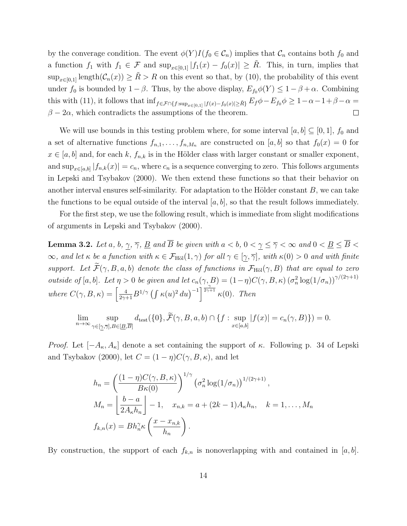by the converage condition. The event  $\phi(Y)I(f_0 \in \mathcal{C}_n)$  implies that  $\mathcal{C}_n$  contains both  $f_0$  and a function  $f_1$  with  $f_1 \in \mathcal{F}$  and  $\sup_{x \in [0,1]} |f_1(x) - f_0(x)| \geq \tilde{R}$ . This, in turn, implies that  $\sup_{x\in[0,1]} \text{length}(\mathcal{C}_n(x)) \geq \tilde{R} > R$  on this event so that, by (10), the probability of this event under  $f_0$  is bounded by  $1 - \beta$ . Thus, by the above display,  $E_{f_0} \phi(Y) \leq 1 - \beta + \alpha$ . Combining this with (11), it follows that  $\inf_{f \in \mathcal{F} \cap \{f:\sup_{x \in [0,1]} |f(x)-f_0(x)| \geq \tilde{R}\}} E_f \phi - E_{f_0} \phi \geq 1-\alpha-1+\beta-\alpha=$  $\beta - 2\alpha$ , which contradicts the assumptions of the theorem.  $\Box$ 

We will use bounds in this testing problem where, for some interval  $[a, b] \subseteq [0, 1]$ ,  $f_0$  and a set of alternative functions  $f_{n,1}, \ldots, f_{n,M_n}$  are constructed on [a, b] so that  $f_0(x) = 0$  for  $x \in [a, b]$  and, for each k,  $f_{n,k}$  is in the Hölder class with larger constant or smaller exponent, and  $\sup_{x \in [a,b]} |f_{n,k}(x)| = c_n$ , where  $c_n$  is a sequence converging to zero. This follows arguments in Lepski and Tsybakov (2000). We then extend these functions so that their behavior on another interval ensures self-similarity. For adaptation to the Hölder constant  $B$ , we can take the functions to be equal outside of the interval  $[a, b]$ , so that the result follows immediately.

For the first step, we use the following result, which is immediate from slight modifications of arguments in Lepski and Tsybakov (2000).

**Lemma 3.2.** Let a, b,  $\gamma$ ,  $\overline{\gamma}$ , <u>B</u> and  $\overline{B}$  be given with  $a < b$ ,  $0 < \gamma \leq \overline{\gamma} < \infty$  and  $0 < \underline{B} \leq \overline{B} < \overline{B}$  $\infty$ , and let  $\kappa$  be a function with  $\kappa \in \mathcal{F}_{\text{H\"ol}}(1,\gamma)$  for all  $\gamma \in [\gamma,\overline{\gamma}]$ , with  $\kappa(0) > 0$  and with finite support. Let  $\widetilde{\mathcal{F}}(\gamma, B, a, b)$  denote the class of functions in  $\mathcal{F}_{\text{H\"ol}}(\gamma, B)$  that are equal to zero outside of [a, b]. Let  $\eta > 0$  be given and let  $c_n(\gamma, B) = (1 - \eta)C(\gamma, B, \kappa) (\sigma_n^2 \log(1/\sigma_n))^{\gamma/(2\gamma+1)}$ where  $C(\gamma, B, \kappa) = \left[\frac{4}{2\gamma+1}B^{1/\gamma}\left(\int \kappa(u)^2 du\right)^{-1}\right]^{\frac{\gamma}{2\gamma+1}}\kappa(0)$ . Then

$$
\lim_{n \to \infty} \sup_{\gamma \in [\underline{\gamma}, \overline{\gamma}], B \in [\underline{B}, \overline{B}]} d_{\text{test}}(\{0\}, \widetilde{\mathcal{F}}(\gamma, B, a, b) \cap \{f : \sup_{x \in [a, b]} |f(x)| = c_n(\gamma, B)\}) = 0.
$$

*Proof.* Let  $[-A_{\kappa}, A_{\kappa}]$  denote a set containing the support of  $\kappa$ . Following p. 34 of Lepski and Tsybakov (2000), let  $C = (1 - \eta)C(\gamma, B, \kappa)$ , and let

$$
h_n = \left(\frac{(1-\eta)C(\gamma, B, \kappa)}{B\kappa(0)}\right)^{1/\gamma} \left(\sigma_n^2 \log(1/\sigma_n)\right)^{1/(2\gamma+1)},
$$
  
\n
$$
M_n = \left\lfloor \frac{b-a}{2A_\kappa h_n} \right\rfloor - 1, \quad x_{n,k} = a + (2k-1)A_\kappa h_n, \quad k = 1, \dots, M_n
$$
  
\n
$$
f_{k,n}(x) = Bh_n^{\gamma} \kappa\left(\frac{x - x_{n,k}}{h_n}\right).
$$

By construction, the support of each  $f_{k,n}$  is nonoverlapping with and contained in [a, b].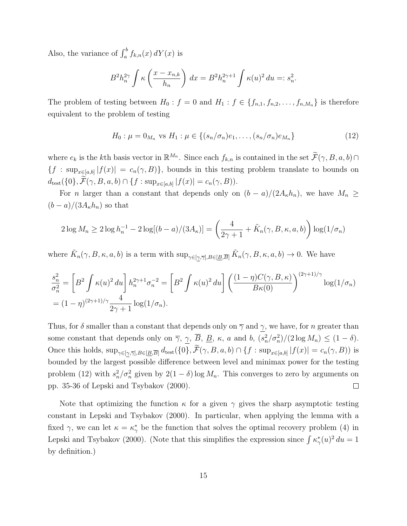Also, the variance of  $\int_a^b f_{k,n}(x) dY(x)$  is

$$
B^{2}h_{n}^{2\gamma}\int \kappa\left(\frac{x-x_{n,k}}{h_{n}}\right) dx = B^{2}h_{n}^{2\gamma+1}\int \kappa(u)^{2} du =: s_{n}^{2}.
$$

The problem of testing between  $H_0: f = 0$  and  $H_1: f \in \{f_{n,1}, f_{n,2}, \ldots, f_{n,M_n}\}$  is therefore equivalent to the problem of testing

$$
H_0: \mu = 0_{M_n} \text{ vs } H_1: \mu \in \{(s_n/\sigma_n)e_1, \dots, (s_n/\sigma_n)e_{M_n}\}\
$$
 (12)

where  $e_k$  is the kth basis vector in  $\mathbb{R}^{M_n}$ . Since each  $f_{k,n}$  is contained in the set  $\widetilde{\mathcal{F}}(\gamma, B, a, b) \cap$  ${f : \sup_{x \in [a,b]} |f(x)| = c_n(\gamma, B)}$ , bounds in this testing problem translate to bounds on  $d_{\text{test}}(\{0\}, \mathcal{F}(\gamma, B, a, b) \cap \{f : \sup_{x \in [a,b]} |f(x)| = c_n(\gamma, B)).$ 

For n larger than a constant that depends only on  $(b-a)/(2A_kh_n)$ , we have  $M_n \ge$  $(b-a)/(3A_{\kappa}h_n)$  so that

$$
2\log M_n \ge 2\log h_n^{-1} - 2\log[(b-a)/(3A_\kappa)] = \left(\frac{4}{2\gamma+1} + \tilde{K}_n(\gamma, B, \kappa, a, b)\right) \log(1/\sigma_n)
$$

where  $\tilde{K}_n(\gamma, B, \kappa, a, b)$  is a term with  $\sup_{\gamma \in [\gamma, \overline{\gamma}], B \in [\underline{B}, \overline{B}]} \tilde{K}_n(\gamma, B, \kappa, a, b) \to 0$ . We have

$$
\frac{s_n^2}{\sigma_n^2} = \left[B^2 \int \kappa(u)^2 du\right] h_n^{2\gamma+1} \sigma_n^{-2} = \left[B^2 \int \kappa(u)^2 du\right] \left(\frac{(1-\eta)C(\gamma, B, \kappa)}{B\kappa(0)}\right)^{(2\gamma+1)/\gamma} \log(1/\sigma_n)
$$

$$
= (1-\eta)^{(2\gamma+1)/\gamma} \frac{4}{2\gamma+1} \log(1/\sigma_n).
$$

Thus, for  $\delta$  smaller than a constant that depends only on  $\overline{\gamma}$  and  $\gamma$ , we have, for n greater than some constant that depends only on  $\overline{\gamma}$ ,  $\gamma$ ,  $\overline{B}$ ,  $\underline{B}$ ,  $\kappa$ , a and b,  $(s_n^2/\sigma_n^2)/(2 \log M_n) \leq (1 - \delta)$ . Once this holds,  $\sup_{\gamma \in [\underline{\gamma}, \overline{\gamma}], B \in [\underline{B}, \overline{B}]} d_{\text{test}}(\{0\}, \mathcal{F}(\gamma, B, a, b) \cap \{f : \sup_{x \in [a,b]} |f(x)| = c_n(\gamma, B)\}\)$  is bounded by the largest possible difference between level and minimax power for the testing problem (12) with  $s_n^2/\sigma_n^2$  given by  $2(1-\delta)\log M_n$ . This converges to zero by arguments on pp. 35-36 of Lepski and Tsybakov (2000).  $\Box$ 

Note that optimizing the function  $\kappa$  for a given  $\gamma$  gives the sharp asymptotic testing constant in Lepski and Tsybakov (2000). In particular, when applying the lemma with a fixed  $\gamma$ , we can let  $\kappa = \kappa^*_{\gamma}$  be the function that solves the optimal recovery problem (4) in Lepski and Tsybakov (2000). (Note that this simplifies the expression since  $\int \kappa^*_{\gamma}(u)^2 du = 1$ by definition.)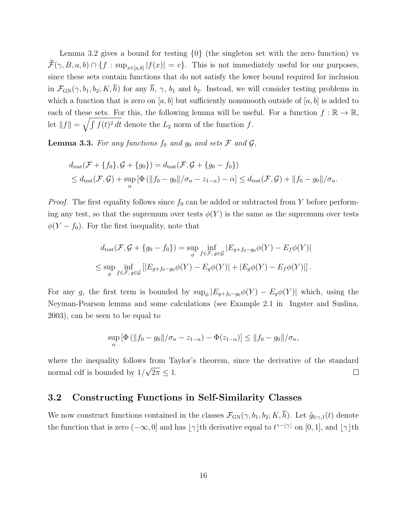Lemma 3.2 gives a bound for testing {0} (the singleton set with the zero function) vs  $\mathcal{F}(\gamma, B, a, b) \cap \{f : \sup_{x \in [a,b]} |f(x)| = c\}.$  This is not immediately useful for our purposes, since these sets contain functions that do not satisfy the lower bound required for inclusion in  $\mathcal{F}_{GN}(\gamma, b_1, b_2; K, \overline{h})$  for any  $\overline{h}, \gamma, b_1$  and  $b_2$ . Instead, we will consider testing problems in which a function that is zero on  $[a, b]$  but sufficiently nonsmooth outside of  $[a, b]$  is added to each of these sets. For this, the following lemma will be useful. For a function  $f : \mathbb{R} \to \mathbb{R}$ , let  $||f|| = \sqrt{\int f(t)^2 dt}$  denote the  $L_2$  norm of the function f.

**Lemma 3.3.** For any functions  $f_0$  and  $g_0$  and sets  $\mathcal F$  and  $\mathcal G$ ,

$$
d_{\text{test}}(\mathcal{F} + \{f_0\}, \mathcal{G} + \{g_0\}) = d_{\text{test}}(\mathcal{F}, \mathcal{G} + \{g_0 - f_0\})
$$
  
\$\leq d\_{\text{test}}(\mathcal{F}, \mathcal{G}) + \sup\_{\alpha} \left[ \Phi\left( ||f\_0 - g\_0|| / \sigma\_n - z\_{1-\alpha} \right) - \alpha \right] \leq d\_{\text{test}}(\mathcal{F}, \mathcal{G}) + ||f\_0 - g\_0|| / \sigma\_n\$.

*Proof.* The first equality follows since  $f_0$  can be added or subtracted from Y before performing any test, so that the supremum over tests  $\phi(Y)$  is the same as the supremum over tests  $\phi(Y - f_0)$ . For the first inequality, note that

$$
d_{\text{test}}(\mathcal{F}, \mathcal{G} + \{g_0 - f_0\}) = \sup_{\phi} \inf_{f \in \mathcal{F}, g \in \mathcal{G}} |E_{g + f_0 - g_0} \phi(Y) - E_f \phi(Y)|
$$
  

$$
\leq \sup_{\phi} \inf_{f \in \mathcal{F}, g \in \mathcal{G}} |[E_{g + f_0 - g_0} \phi(Y) - E_g \phi(Y)| + |E_g \phi(Y) - E_f \phi(Y)|].
$$

For any g, the first term is bounded by  $\sup_{\phi} |E_{g+f_0-g_0} \phi(Y) - E_g \phi(Y)|$  which, using the Neyman-Pearson lemma and some calculations (see Example 2.1 in Ingster and Suslina, 2003), can be seen to be equal to

$$
\sup_{\alpha} [\Phi (||f_0 - g_0||/\sigma_n - z_{1-\alpha}) - \Phi(z_{1-\alpha})] \le ||f_0 - g_0||/\sigma_n,
$$

where the inequality follows from Taylor's theorem, since the derivative of the standard √ normal cdf is bounded by 1/  $2\pi \leq 1$ .  $\Box$ 

### 3.2 Constructing Functions in Self-Similarity Classes

We now construct functions contained in the classes  $\mathcal{F}_{GN}(\gamma, b_1, b_2; K, \overline{h})$ . Let  $\tilde{g}_{0,\gamma,1}(t)$  denote the function that is zero  $(-\infty, 0]$  and has  $[\gamma]$ th derivative equal to  $t^{\gamma-[\gamma]}$  on [0, 1], and  $[\gamma]$ th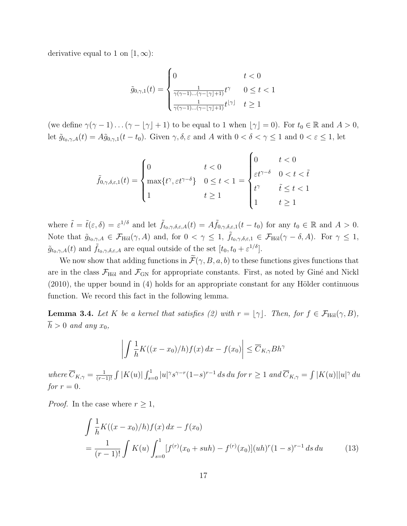derivative equal to 1 on  $[1, \infty)$ :

$$
\tilde{g}_{0,\gamma,1}(t) = \begin{cases}\n0 & t < 0 \\
\frac{1}{\gamma(\gamma-1)\dots(\gamma-1)\gamma+1}t^{\gamma} & 0 \le t < 1 \\
\frac{1}{\gamma(\gamma-1)\dots(\gamma-1)\gamma+1}t^{1/\gamma} & t \ge 1\n\end{cases}
$$

(we define  $\gamma(\gamma - 1) \ldots (\gamma - \lfloor \gamma \rfloor + 1)$  to be equal to 1 when  $\lfloor \gamma \rfloor = 0$ ). For  $t_0 \in \mathbb{R}$  and  $A > 0$ , let  $\tilde{g}_{t_0,\gamma,A}(t) = A\tilde{g}_{0,\gamma,1}(t-t_0)$ . Given  $\gamma, \delta, \varepsilon$  and A with  $0 < \delta < \gamma \leq 1$  and  $0 < \varepsilon \leq 1$ , let

$$
\tilde{f}_{0,\gamma,\delta,\varepsilon,1}(t) = \begin{cases}\n0 & t < 0 \\
\max\{t^{\gamma}, \varepsilon t^{\gamma-\delta}\} & 0 \le t < 1 \\
1 & t \ge 1\n\end{cases} = \begin{cases}\n0 & t < 0 \\
\varepsilon t^{\gamma-\delta} & 0 < t < \tilde{t} \\
t^{\gamma} & \tilde{t} \le t < 1 \\
1 & t \ge 1\n\end{cases}
$$

where  $\tilde{t} = \tilde{t}(\varepsilon, \delta) = \varepsilon^{1/\delta}$  and let  $\tilde{f}_{t_0, \gamma, \delta, \varepsilon, A}(t) = A \tilde{f}_{0, \gamma, \delta, \varepsilon, 1}(t - t_0)$  for any  $t_0 \in \mathbb{R}$  and  $A > 0$ . Note that  $\tilde{g}_{t_0,\gamma,A} \in \mathcal{F}_{H\ddot{o}l}(\gamma,A)$  and, for  $0 < \gamma \leq 1$ ,  $\tilde{f}_{t_0,\gamma,\delta,\varepsilon,1} \in \mathcal{F}_{H\ddot{o}l}(\gamma-\delta,A)$ . For  $\gamma \leq 1$ ,  $\tilde{g}_{t_0,\gamma,A}(t)$  and  $\tilde{f}_{t_0,\gamma,\delta,\varepsilon,A}$  are equal outside of the set  $[t_0, t_0 + \varepsilon^{1/\delta}].$ 

We now show that adding functions in  $\widetilde{\mathcal{F}}(\gamma, B, a, b)$  to these functions gives functions that are in the class  $\mathcal{F}_{H\ddot{o}l}$  and  $\mathcal{F}_{GN}$  for appropriate constants. First, as noted by Giné and Nickl  $(2010)$ , the upper bound in  $(4)$  holds for an appropriate constant for any Hölder continuous function. We record this fact in the following lemma.

**Lemma 3.4.** Let K be a kernel that satisfies (2) with  $r = \gamma$ . Then, for  $f \in \mathcal{F}_{\text{H\"ol}}(\gamma, B)$ ,  $\overline{h} > 0$  and any  $x_0$ ,

$$
\left| \int \frac{1}{h} K((x - x_0)/h) f(x) \, dx - f(x_0) \right| \le \overline{C}_{K,\gamma} B h^{\gamma}
$$

where  $\overline{C}_{K,\gamma} = \frac{1}{(r-1)^{n}}$  $\frac{1}{(r-1)!}$   $\int |K(u)| \int_{s=0}^{1} |u|^{\gamma} s^{\gamma-r} (1-s)^{r-1} ds du$  for  $r ≥ 1$  and  $\overline{C}_{K,\gamma} = \int |K(u)| |u|^{\gamma} du$ for  $r = 0$ .

*Proof.* In the case where  $r \geq 1$ ,

$$
\int \frac{1}{h} K((x - x_0)/h) f(x) dx - f(x_0)
$$
  
= 
$$
\frac{1}{(r-1)!} \int K(u) \int_{s=0}^{1} [f^{(r)}(x_0 + suh) - f^{(r)}(x_0)] (uh)^r (1-s)^{r-1} ds du
$$
 (13)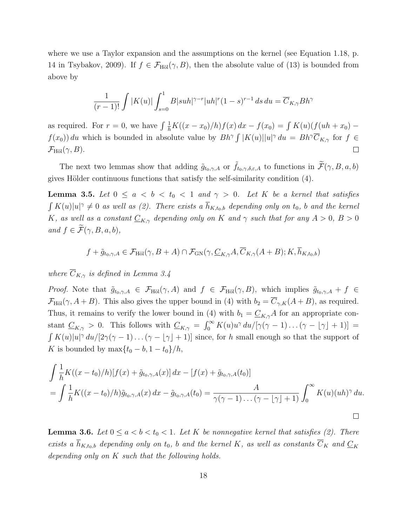where we use a Taylor expansion and the assumptions on the kernel (see Equation 1.18, p. 14 in Tsybakov, 2009). If  $f \in \mathcal{F}_{\text{H\"ol}}(\gamma, B)$ , then the absolute value of (13) is bounded from above by

$$
\frac{1}{(r-1)!} \int |K(u)| \int_{s=0}^1 B|suh|^{\gamma-r} |uh|^r (1-s)^{r-1} ds du = \overline{C}_{K,\gamma} Bh^{\gamma}
$$

as required. For  $r = 0$ , we have  $\int \frac{1}{h} K((x - x_0)/h) f(x) dx - f(x_0) = \int K(u) (f(uh + x_0)$  $f(x_0)$  du which is bounded in absolute value by  $Bh^{\gamma} \int |K(u)||u|^{\gamma} du = Bh^{\gamma} \overline{C}_{K,\gamma}$  for  $f \in$  $\mathcal{F}_{\text{H\"ol}}(\gamma, B)$ .

The next two lemmas show that adding  $\tilde{g}_{t_0,\gamma,A}$  or  $\tilde{f}_{t_0,\gamma,\delta,\varepsilon,A}$  to functions in  $\tilde{\mathcal{F}}(\gamma,B,a,b)$ gives Hölder continuous functions that satisfy the self-similarity condition  $(4)$ .

**Lemma 3.5.** Let  $0 \le a < b < t_0 < 1$  and  $\gamma > 0$ . Let K be a kernel that satisfies  $\int K(u)|u|^\gamma \neq 0$  as well as (2). There exists a  $\overline{h}_{K,t_0,b}$  depending only on  $t_0$ , b and the kernel K, as well as a constant  $\underline{C}_{K,\gamma}$  depending only on K and  $\gamma$  such that for any  $A > 0$ ,  $B > 0$ and  $f \in \widetilde{\mathcal{F}}(\gamma, B, a, b),$ 

$$
f + \tilde{g}_{t_0, \gamma, A} \in \mathcal{F}_{\text{H\"ol}}(\gamma, B + A) \cap \mathcal{F}_{\text{GN}}(\gamma, \underline{C}_{K, \gamma} A, \overline{C}_{K, \gamma} (A + B); K, \overline{h}_{K, t_0, b})
$$

where  $\overline{C}_{K,\gamma}$  is defined in Lemma 3.4

*Proof.* Note that  $\tilde{g}_{t_0,\gamma,A} \in \mathcal{F}_{\text{H\"ol}}(\gamma,A)$  and  $f \in \mathcal{F}_{\text{H\"ol}}(\gamma,B)$ , which implies  $\tilde{g}_{t_0,\gamma,A} + f \in$  $\mathcal{F}_{\text{Höl}}(\gamma, A + B)$ . This also gives the upper bound in (4) with  $b_2 = \overline{C}_{\gamma,K}(A + B)$ , as required. Thus, it remains to verify the lower bound in (4) with  $b_1 = \underline{C}_{K,\gamma}A$  for an appropriate constant  $\underline{C}_{K,\gamma} > 0$ . This follows with  $\underline{C}_{K,\gamma} = \int_0^\infty K(u)u^\gamma du/[\gamma(\gamma-1)\dots(\gamma-\lfloor \gamma \rfloor+1)] =$  $\int K(u)|u|^\gamma du/[2\gamma(\gamma-1)\dots(\gamma-|\gamma|+1)]$  since, for h small enough so that the support of K is bounded by  $\max\{t_0 - b, 1 - t_0\}/h$ ,

$$
\int \frac{1}{h} K((x - t_0)/h)[f(x) + \tilde{g}_{t_0, \gamma, A}(x)] dx - [f(x) + \tilde{g}_{t_0, \gamma, A}(t_0)]
$$
  
= 
$$
\int \frac{1}{h} K((x - t_0)/h)\tilde{g}_{t_0, \gamma, A}(x) dx - \tilde{g}_{t_0, \gamma, A}(t_0) = \frac{A}{\gamma(\gamma - 1)\dots(\gamma - [\gamma] + 1)} \int_0^\infty K(u)(uh)^\gamma du.
$$

**Lemma 3.6.** Let  $0 \le a < b < t_0 < 1$ . Let K be nonnegative kernel that satisfies (2). There exists a  $\overline{h}_{K,t_0,b}$  depending only on  $t_0$ , b and the kernel K, as well as constants  $\overline{C}_K$  and  $\underline{C}_K$ depending only on K such that the following holds.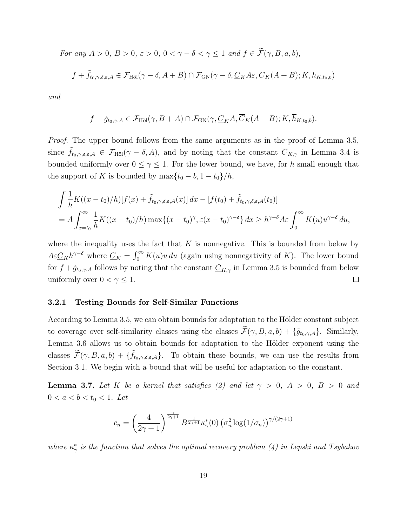For any  $A > 0$ ,  $B > 0$ ,  $\varepsilon > 0$ ,  $0 < \gamma - \delta < \gamma \le 1$  and  $f \in \widetilde{\mathcal{F}}(\gamma, B, a, b)$ ,

$$
f + \tilde{f}_{t_0, \gamma, \delta, \varepsilon, A} \in \mathcal{F}_{\text{H\"{o}l}}(\gamma - \delta, A + B) \cap \mathcal{F}_{\text{GN}}(\gamma - \delta, \underline{C}_K A \varepsilon, \overline{C}_K (A + B); K, \overline{h}_{K, t_0, b})
$$

and

$$
f + \tilde{g}_{t_0, \gamma, A} \in \mathcal{F}_{\text{H\"ol}}(\gamma, B + A) \cap \mathcal{F}_{\text{GN}}(\gamma, \underline{C}_K A, \overline{C}_K (A + B); K, \overline{h}_{K, t_0, b}).
$$

*Proof.* The upper bound follows from the same arguments as in the proof of Lemma 3.5, since  $\tilde{f}_{t_0,\gamma,\delta,\varepsilon,A} \in \mathcal{F}_{\text{H\"ol}}(\gamma-\delta,A)$ , and by noting that the constant  $\overline{C}_{K,\gamma}$  in Lemma 3.4 is bounded uniformly over  $0 \leq \gamma \leq 1$ . For the lower bound, we have, for h small enough that the support of K is bounded by  $\max\{t_0 - b, 1 - t_0\}/h$ ,

$$
\int \frac{1}{h} K((x-t_0)/h)[f(x) + \tilde{f}_{t_0,\gamma,\delta,\varepsilon,A}(x)] dx - [f(t_0) + \tilde{f}_{t_0,\gamma,\delta,\varepsilon,A}(t_0)]
$$
  
=  $A \int_{x=t_0}^{\infty} \frac{1}{h} K((x-t_0)/h) \max\{(x-t_0)^{\gamma}, \varepsilon(x-t_0)^{\gamma-\delta}\} dx \ge h^{\gamma-\delta} A \varepsilon \int_0^{\infty} K(u) u^{\gamma-\delta} du,$ 

where the inequality uses the fact that  $K$  is nonnegative. This is bounded from below by  $A\varepsilon \underline{C}_K h^{\gamma-\delta}$  where  $\underline{C}_K = \int_0^\infty K(u)u du$  (again using nonnegativity of K). The lower bound for  $f + \tilde{g}_{t_0,\gamma,A}$  follows by noting that the constant  $\underline{C}_{K,\gamma}$  in Lemma 3.5 is bounded from below uniformly over  $0 < \gamma \leq 1$ .  $\Box$ 

#### 3.2.1 Testing Bounds for Self-Similar Functions

According to Lemma 3.5, we can obtain bounds for adaptation to the Hölder constant subject to coverage over self-similarity classes using the classes  $\widetilde{\mathcal{F}}(\gamma, B, a, b) + {\tilde{g}_{t_0, \gamma, A}}$ . Similarly, Lemma 3.6 allows us to obtain bounds for adaptation to the Hölder exponent using the classes  $\widetilde{\mathcal{F}}(\gamma, B, a, b) + \{\widetilde{f}_{t_0,\gamma,\delta,\varepsilon,A}\}.$  To obtain these bounds, we can use the results from Section 3.1. We begin with a bound that will be useful for adaptation to the constant.

**Lemma 3.7.** Let K be a kernel that satisfies (2) and let  $\gamma > 0$ ,  $A > 0$ ,  $B > 0$  and  $0 < a < b < t_0 < 1$ . Let

$$
c_n = \left(\frac{4}{2\gamma + 1}\right)^{\frac{\gamma}{2\gamma + 1}} B^{\frac{1}{2\gamma + 1}} \kappa_{\gamma}^*(0) \left(\sigma_n^2 \log(1/\sigma_n)\right)^{\gamma/(2\gamma + 1)}
$$

where  $\kappa^*_{\gamma}$  is the function that solves the optimal recovery problem (4) in Lepski and Tsybakov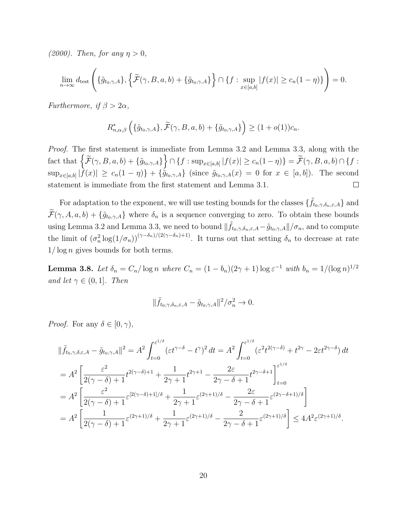(2000). Then, for any  $\eta > 0$ ,

$$
\lim_{n\to\infty} d_{\text{test}}\left(\{\tilde{g}_{t_0,\gamma,A}\},\{\tilde{\mathcal{F}}(\gamma,B,a,b)+\{\tilde{g}_{t_0,\gamma,A}\}\}\cap\{f:\sup_{x\in[a,b]}|f(x)|\geq c_n(1-\eta)\}\right)=0.
$$

Furthermore, if  $\beta > 2\alpha$ ,

$$
R_{n,\alpha,\beta}^*\left(\{\tilde{g}_{t_0,\gamma,A}\},\widetilde{\mathcal{F}}(\gamma,B,a,b)+\{\tilde{g}_{t_0,\gamma,A}\}\right)\geq (1+o(1))c_n.
$$

Proof. The first statement is immediate from Lemma 3.2 and Lemma 3.3, along with the  $\text{fact that } \left\{ \widetilde{\mathcal{F}}(\gamma, B, a, b) + \left\{ \tilde{g}_{t_0, \gamma, A} \right\} \right\} \cap \left\{ f : \sup_{x \in [a, b]} |f(x)| \ge c_n(1 - \eta) \right\} = \widetilde{\mathcal{F}}(\gamma, B, a, b) \cap \left\{ f : \sup_{x \in [a, b]} |f(x)| \ge c_n(1 - \eta) \right\}$  $\sup_{x\in[a,b]}|f(x)|\geq c_n(1-\eta)\}+\{\tilde{g}_{t_0,\gamma,A}\}$  (since  $\tilde{g}_{t_0,\gamma,A}(x)=0$  for  $x\in[a,b]$ ). The second statement is immediate from the first statement and Lemma 3.1.  $\Box$ 

For adaptation to the exponent, we will use testing bounds for the classes  $\{\tilde{f}_{t_0,\gamma,\delta_n,\varepsilon,A}\}$  and  $\widetilde{\mathcal{F}}(\gamma, A, a, b) + \{\widetilde{g}_{t_0, \gamma, A}\}\$  where  $\delta_n$  is a sequence converging to zero. To obtain these bounds using Lemma 3.2 and Lemma 3.3, we need to bound  $\|\tilde{f}_{t_0,\gamma,\delta_n,\varepsilon,A} - \tilde{g}_{t_0,\gamma,A}\|/\sigma_n$ , and to compute the limit of  $(\sigma_n^2 \log(1/\sigma_n))^{(\gamma-\delta_n)/(2(\gamma-\delta_n)+1)}$ . It turns out that setting  $\delta_n$  to decrease at rate  $1/\log n$  gives bounds for both terms.

**Lemma 3.8.** Let  $\delta_n = C_n / \log n$  where  $C_n = (1 - b_n)(2\gamma + 1) \log \varepsilon^{-1}$  with  $b_n = 1/(\log n)^{1/2}$ and let  $\gamma \in (0,1]$ . Then

$$
\|\tilde{f}_{t_0,\gamma,\delta_n,\varepsilon,A}-\tilde{g}_{t_0,\gamma,A}\|^2/\sigma_n^2\to 0.
$$

*Proof.* For any  $\delta \in [0, \gamma)$ ,

$$
\|\tilde{f}_{t_0,\gamma,\delta,\varepsilon,A} - \tilde{g}_{t_0,\gamma,A}\|^2 = A^2 \int_{t=0}^{\varepsilon^{1/\delta}} (\varepsilon t^{\gamma-\delta} - t^{\gamma})^2 dt = A^2 \int_{t=0}^{\varepsilon^{1/\delta}} (\varepsilon^2 t^{2(\gamma-\delta)} + t^{2\gamma} - 2\varepsilon t^{2\gamma-\delta}) dt
$$
  
\n
$$
= A^2 \left[ \frac{\varepsilon^2}{2(\gamma-\delta)+1} t^{2(\gamma-\delta)+1} + \frac{1}{2\gamma+1} t^{2\gamma+1} - \frac{2\varepsilon}{2\gamma-\delta+1} t^{2\gamma-\delta+1} \right]_{t=0}^{\varepsilon^{1/\delta}}
$$
  
\n
$$
= A^2 \left[ \frac{\varepsilon^2}{2(\gamma-\delta)+1} \varepsilon^{[2(\gamma-\delta)+1]/\delta} + \frac{1}{2\gamma+1} \varepsilon^{(2\gamma+1)/\delta} - \frac{2\varepsilon}{2\gamma-\delta+1} \varepsilon^{(2\gamma-\delta+1)/\delta} \right]
$$
  
\n
$$
= A^2 \left[ \frac{1}{2(\gamma-\delta)+1} \varepsilon^{(2\gamma+1)/\delta} + \frac{1}{2\gamma+1} \varepsilon^{(2\gamma+1)/\delta} - \frac{2}{2\gamma-\delta+1} \varepsilon^{(2\gamma+1)/\delta} \right] \le 4A^2 \varepsilon^{(2\gamma+1)/\delta}.
$$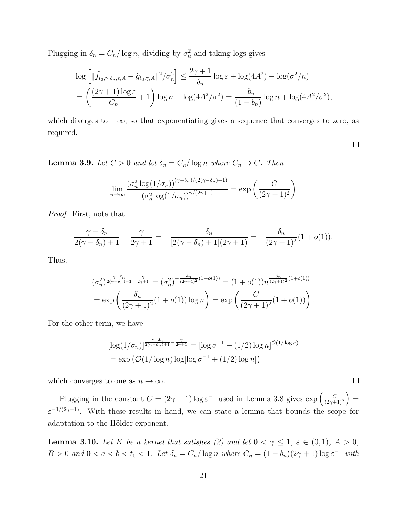Plugging in  $\delta_n = C_n / \log n$ , dividing by  $\sigma_n^2$  and taking logs gives

$$
\log\left[\|\tilde{f}_{t_0,\gamma,\delta_n,\varepsilon,A} - \tilde{g}_{t_0,\gamma,A}\|^2/\sigma_n^2\right] \le \frac{2\gamma+1}{\delta_n} \log \varepsilon + \log(4A^2) - \log(\sigma^2/n)
$$
  
= 
$$
\left(\frac{(2\gamma+1)\log \varepsilon}{C_n} + 1\right) \log n + \log(4A^2/\sigma^2) = \frac{-b_n}{(1-b_n)} \log n + \log(4A^2/\sigma^2),
$$

which diverges to  $-\infty$ , so that exponentiating gives a sequence that converges to zero, as required.

 $\Box$ 

**Lemma 3.9.** Let  $C > 0$  and let  $\delta_n = C_n / \log n$  where  $C_n \to C$ . Then

$$
\lim_{n \to \infty} \frac{(\sigma_n^2 \log(1/\sigma_n))^{(\gamma - \delta_n)/(2(\gamma - \delta_n) + 1)}}{(\sigma_n^2 \log(1/\sigma_n))^{\gamma/(2\gamma + 1)}} = \exp\left(\frac{C}{(2\gamma + 1)^2}\right)
$$

Proof. First, note that

$$
\frac{\gamma - \delta_n}{2(\gamma - \delta_n) + 1} - \frac{\gamma}{2\gamma + 1} = -\frac{\delta_n}{[2(\gamma - \delta_n) + 1](2\gamma + 1)} = -\frac{\delta_n}{(2\gamma + 1)^2} (1 + o(1)).
$$

Thus,

$$
(\sigma_n^2)^{\frac{\gamma-\delta_n}{2(\gamma-\delta_n)+1} - \frac{\gamma}{2\gamma+1}} = (\sigma_n^2)^{-\frac{\delta_n}{(2\gamma+1)^2}(1+o(1))} = (1+o(1))n^{\frac{\delta_n}{(2\gamma+1)^2}(1+o(1))}
$$
  
=  $\exp\left(\frac{\delta_n}{(2\gamma+1)^2}(1+o(1))\log n\right) = \exp\left(\frac{C}{(2\gamma+1)^2}(1+o(1))\right).$ 

For the other term, we have

$$
\left[\log(1/\sigma_n)\right]^{\frac{\gamma-\delta_n}{2(\gamma-\delta_n)+1} - \frac{\gamma}{2\gamma+1}} = \left[\log \sigma^{-1} + (1/2)\log n\right]^{\mathcal{O}(1/\log n)}
$$

$$
= \exp\left(\mathcal{O}(1/\log n)\log\left[\log \sigma^{-1} + (1/2)\log n\right]\right)
$$

which converges to one as  $n \to \infty$ .

Plugging in the constant  $C = (2\gamma + 1) \log \varepsilon^{-1}$  used in Lemma 3.8 gives  $\exp \left( \frac{C}{2\gamma + 1} \right)$  $\frac{C}{(2\gamma+1)^2}$  =  $\varepsilon^{-1/(2\gamma+1)}$ . With these results in hand, we can state a lemma that bounds the scope for adaptation to the Hölder exponent.

**Lemma 3.10.** Let K be a kernel that satisfies (2) and let  $0 < \gamma \leq 1$ ,  $\varepsilon \in (0,1)$ ,  $A > 0$ ,  $B > 0$  and  $0 < a < b < t_0 < 1$ . Let  $\delta_n = C_n / \log n$  where  $C_n = (1 - b_n)(2\gamma + 1) \log \varepsilon^{-1}$  with

 $\Box$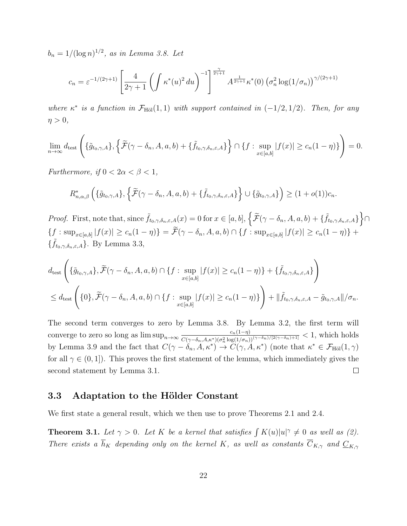$b_n = 1/(\log n)^{1/2}$ , as in Lemma 3.8. Let

$$
c_n = \varepsilon^{-1/(2\gamma+1)} \left[ \frac{4}{2\gamma+1} \left( \int \kappa^*(u)^2 \, du \right)^{-1} \right]^{\frac{\gamma}{2\gamma+1}} A^{\frac{1}{2\gamma+1}} \kappa^*(0) \left( \sigma_n^2 \log(1/\sigma_n) \right)^{\gamma/(2\gamma+1)}
$$

where  $\kappa^*$  is a function in  $\mathcal{F}_{\text{H\"{o}l}}(1,1)$  with support contained in  $(-1/2,1/2)$ . Then, for any  $\eta > 0$ ,

$$
\lim_{n\to\infty} d_{\text{test}}\left(\{\tilde{g}_{t_0,\gamma,A}\},\{\widetilde{\mathcal{F}}(\gamma-\delta_n,A,a,b)+\{\tilde{f}_{t_0,\gamma,\delta_n,\varepsilon,A}\}\}\cap\{f:\sup_{x\in[a,b]}|f(x)|\geq c_n(1-\eta)\}\right)=0.
$$

Furthermore, if  $0 < 2\alpha < \beta < 1$ ,

$$
R_{n,\alpha,\beta}^*\left(\{\tilde{g}_{t_0,\gamma,A}\},\{\widetilde{\mathcal{F}}(\gamma-\delta_n,A,a,b)+\{\tilde{f}_{t_0,\gamma,\delta_n,\varepsilon,A}\}\right\}\cup\{\tilde{g}_{t_0,\gamma,A}\}\right)\geq(1+o(1))c_n.
$$

Proof. First, note that, since  $\tilde{f}_{t_0,\gamma,\delta_n,\varepsilon,A}(x) = 0$  for  $x \in [a,b]$ ,  $\left\{ \widetilde{\mathcal{F}}(\gamma - \delta_n, A, a, b) + \{\widetilde{f}_{t_0,\gamma,\delta_n,\varepsilon,A}\}\right\} \cap$  $\{f : \sup_{x \in [a,b]} |f(x)| \ge c_n(1-\eta)\} = \mathcal{F}(\gamma - \delta_n, A, a, b) \cap \{f : \sup_{x \in [a,b]} |f(x)| \ge c_n(1-\eta)\} +$  $\{\tilde{f}_{t_0,\gamma,\delta_n,\varepsilon,A}\}.$  By Lemma 3.3,

$$
d_{\text{test}}\left(\{\tilde{g}_{t_0,\gamma,A}\},\widetilde{\mathcal{F}}(\gamma-\delta_n,A,a,b)\cap\{f:\sup_{x\in[a,b]}|f(x)|\geq c_n(1-\eta)\}+\{\tilde{f}_{t_0,\gamma,\delta_n,\varepsilon,A}\}\right)
$$
  

$$
\leq d_{\text{test}}\left(\{0\},\widetilde{\mathcal{F}}(\gamma-\delta_n,A,a,b)\cap\{f:\sup_{x\in[a,b]}|f(x)|\geq c_n(1-\eta)\}\right)+\|\tilde{f}_{t_0,\gamma,\delta_n,\varepsilon,A}-\tilde{g}_{t_0,\gamma,A}\|/\sigma_n.
$$

The second term converges to zero by Lemma 3.8. By Lemma 3.2, the first term will converge to zero so long as  $\limsup_{n\to\infty} \frac{c_n(1-\eta)}{C(\gamma-\delta-A\kappa^*)(\sigma^2\log(1/\sigma))}$  $\frac{c_n(1-\eta)}{C(\gamma-\delta_n, A, \kappa^*)(\sigma_n^2 \log(1/\sigma_n))^{(\gamma-\delta_n)/[2(\gamma-\delta_n)+1]}} < 1$ , which holds by Lemma 3.9 and the fact that  $C(\gamma - \delta_n, A, \kappa^*) \to C(\gamma, A, \kappa^*)$  (note that  $\kappa^* \in \mathcal{F}_{\text{H\"ol}}(1, \gamma)$ for all  $\gamma \in (0,1]$ ). This proves the first statement of the lemma, which immediately gives the second statement by Lemma 3.1.  $\Box$ 

### 3.3 Adaptation to the Hölder Constant

We first state a general result, which we then use to prove Theorems 2.1 and 2.4.

**Theorem 3.1.** Let  $\gamma > 0$ . Let K be a kernel that satisfies  $\int K(u)|u|^\gamma \neq 0$  as well as (2). There exists a  $\bar{h}_K$  depending only on the kernel K, as well as constants  $\overline{C}_{K,\gamma}$  and  $\underline{C}_{K,\gamma}$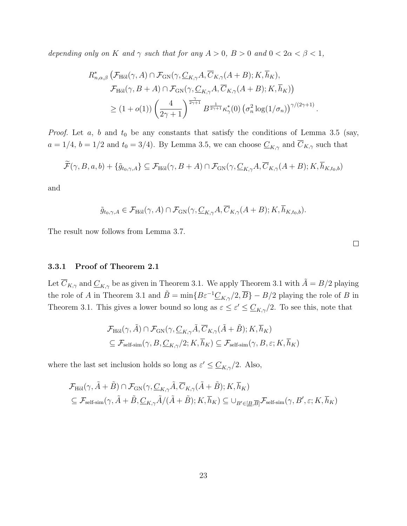depending only on K and  $\gamma$  such that for any  $A > 0$ ,  $B > 0$  and  $0 < 2\alpha < \beta < 1$ ,

$$
R_{n,\alpha,\beta}^{*} \left( \mathcal{F}_{\mathrm{H\ddot{o}l}}(\gamma,A) \cap \mathcal{F}_{\mathrm{GN}}(\gamma,\underline{C}_{K,\gamma}A,\overline{C}_{K,\gamma}(A+B);K,\overline{h}_{K}), \right.\\ \left. \mathcal{F}_{\mathrm{H\ddot{o}l}}(\gamma,B+A) \cap \mathcal{F}_{\mathrm{GN}}(\gamma,\underline{C}_{K,\gamma}A,\overline{C}_{K,\gamma}(A+B);K,\overline{h}_{K}) \right) \\ \geq (1+o(1)) \left( \frac{4}{2\gamma+1} \right)^{\frac{\gamma}{2\gamma+1}} B^{\frac{1}{2\gamma+1}} \kappa_{\gamma}^{*}(0) \left( \sigma_{n}^{2} \log(1/\sigma_{n}) \right)^{\gamma/(2\gamma+1)}.
$$

*Proof.* Let  $a, b$  and  $t_0$  be any constants that satisfy the conditions of Lemma 3.5 (say,  $a = 1/4$ ,  $b = 1/2$  and  $t_0 = 3/4$ ). By Lemma 3.5, we can choose  $\underline{C}_{K,\gamma}$  and  $\overline{C}_{K,\gamma}$  such that

$$
\widetilde{\mathcal{F}}(\gamma, B, a, b) + \{\tilde{g}_{t_0, \gamma, A}\} \subseteq \mathcal{F}_{\text{H\"ol}}(\gamma, B + A) \cap \mathcal{F}_{\text{GN}}(\gamma, \underline{C}_{K, \gamma} A, \overline{C}_{K, \gamma} (A + B); K, \overline{h}_{K, t_0, b})
$$

and

$$
\tilde{g}_{t_0,\gamma,A} \in \mathcal{F}_{\text{H\"{o}l}}(\gamma,A) \cap \mathcal{F}_{\text{GN}}(\gamma,\underline{C}_{K,\gamma}A,\overline{C}_{K,\gamma}(A+B);K,\overline{h}_{K,t_0,b}).
$$

The result now follows from Lemma 3.7.

#### 3.3.1 Proof of Theorem 2.1

Let  $\overline{C}_{K,\gamma}$  and  $\underline{C}_{K,\gamma}$  be as given in Theorem 3.1. We apply Theorem 3.1 with  $\tilde{A} = B/2$  playing the role of A in Theorem 3.1 and  $\tilde{B} = \min\{B\varepsilon^{-1}\underline{C}_{K,\gamma}/2, \overline{B}\}-B/2$  playing the role of B in Theorem 3.1. This gives a lower bound so long as  $\varepsilon \leq \varepsilon' \leq \underline{C}_{K,\gamma}/2$ . To see this, note that

$$
\mathcal{F}_{\text{H\"{o}l}}(\gamma, \tilde{A}) \cap \mathcal{F}_{\text{GN}}(\gamma, \underline{C}_{K,\gamma} \tilde{A}, \overline{C}_{K,\gamma} (\tilde{A} + \tilde{B}); K, \overline{h}_K)
$$
  

$$
\subseteq \mathcal{F}_{\text{self-sim}}(\gamma, B, \underline{C}_{K,\gamma}/2; K, \overline{h}_K) \subseteq \mathcal{F}_{\text{self-sim}}(\gamma, B, \varepsilon; K, \overline{h}_K)
$$

where the last set inclusion holds so long as  $\varepsilon' \leq \underline{C}_{K,\gamma}/2$ . Also,

$$
\mathcal{F}_{\text{H\"ol}}(\gamma, \tilde{A} + \tilde{B}) \cap \mathcal{F}_{\text{GN}}(\gamma, \underline{C}_{K,\gamma} \tilde{A}, \overline{C}_{K,\gamma} (\tilde{A} + \tilde{B}); K, \overline{h}_K)
$$
  
\n
$$
\subseteq \mathcal{F}_{\text{self-sim}}(\gamma, \tilde{A} + \tilde{B}, \underline{C}_{K,\gamma} \tilde{A}/(\tilde{A} + \tilde{B}); K, \overline{h}_K) \subseteq \bigcup_{B' \in [\underline{B}, \overline{B}]} \mathcal{F}_{\text{self-sim}}(\gamma, B', \varepsilon; K, \overline{h}_K)
$$

 $\Box$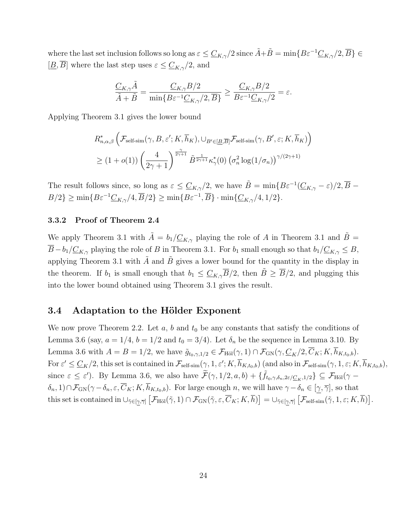where the last set inclusion follows so long as  $\varepsilon \leq \underline{C}_{K,\gamma}/2$  since  $\tilde{A} + \tilde{B} = \min\{B\varepsilon^{-1}\underline{C}_{K,\gamma}/2, \overline{B}\}\in$  $[\underline{B}, \overline{B}]$  where the last step uses  $\varepsilon \leq \underline{C}_{K,\gamma}/2$ , and

$$
\frac{\underline{C}_{K,\gamma}\tilde{A}}{\tilde{A}+\tilde{B}}=\frac{\underline{C}_{K,\gamma}B/2}{\min\{B\varepsilon^{-1}\underline{C}_{K,\gamma}/2,\overline{B}\}}\geq \frac{\underline{C}_{K,\gamma}B/2}{B\varepsilon^{-1}\underline{C}_{K,\gamma}/2}=\varepsilon.
$$

Applying Theorem 3.1 gives the lower bound

$$
R_{n,\alpha,\beta}^{*}\left(\mathcal{F}_{\text{self-sim}}(\gamma,B,\varepsilon';K,\overline{h}_{K}),\cup_{B'\in[\underline{B},\overline{B}]}\mathcal{F}_{\text{self-sim}}(\gamma,B',\varepsilon;K,\overline{h}_{K})\right)
$$
  

$$
\geq (1+o(1))\left(\frac{4}{2\gamma+1}\right)^{\frac{\gamma}{2\gamma+1}}\tilde{B}^{\frac{1}{2\gamma+1}}\kappa_{\gamma}^{*}(0)\left(\sigma_{n}^{2}\log(1/\sigma_{n})\right)^{\gamma/(2\gamma+1)}
$$

The result follows since, so long as  $\varepsilon \leq \underline{C}_{K,\gamma}/2$ , we have  $\tilde{B} = \min\{B\varepsilon^{-1}(\underline{C}_{K,\gamma} - \varepsilon)/2, \overline{B} - \overline{C}_{K,\gamma}\}$  $B/2$ }  $\geq \min\{B\varepsilon^{-1}\underline{C}_{K,\gamma}/4,\overline{B}/2\} \geq \min\{B\varepsilon^{-1},\overline{B}\}\cdot \min\{\underline{C}_{K,\gamma}/4,1/2\}.$ 

#### 3.3.2 Proof of Theorem 2.4

We apply Theorem 3.1 with  $\tilde{A} = b_1/\underline{C}_{K,\gamma}$  playing the role of A in Theorem 3.1 and  $B =$  $\overline{B}-b_1/\underline{C}_{K,\gamma}$  playing the role of B in Theorem 3.1. For  $b_1$  small enough so that  $b_1/\underline{C}_{K,\gamma}\leq B$ , applying Theorem 3.1 with  $\tilde{A}$  and  $\tilde{B}$  gives a lower bound for the quantity in the display in the theorem. If  $b_1$  is small enough that  $b_1 \leq \underline{C}_{K,\gamma} \overline{B}/2$ , then  $\tilde{B} \geq \overline{B}/2$ , and plugging this into the lower bound obtained using Theorem 3.1 gives the result.

### 3.4 Adaptation to the Hölder Exponent

We now prove Theorem 2.2. Let  $a, b$  and  $t_0$  be any constants that satisfy the conditions of Lemma 3.6 (say,  $a = 1/4$ ,  $b = 1/2$  and  $t_0 = 3/4$ ). Let  $\delta_n$  be the sequence in Lemma 3.10. By Lemma 3.6 with  $A = B = 1/2$ , we have  $\tilde{g}_{t_0, \gamma, 1/2} \in \mathcal{F}_{\text{H\"ol}}(\gamma, 1) \cap \mathcal{F}_{\text{GN}}(\gamma, \underline{C}_K/2, \overline{C}_K; K, \overline{h}_{K,t_0, b}).$ For  $\varepsilon' \leq \underline{C}_K/2$ , this set is contained in  $\mathcal{F}_{\text{self-sim}}(\gamma, 1, \varepsilon'; K, \overline{h}_{K,t_0,b})$  (and also in  $\mathcal{F}_{\text{self-sim}}(\gamma, 1, \varepsilon; K, \overline{h}_{K,t_0,b})$ , since  $\varepsilon \leq \varepsilon'$ ). By Lemma 3.6, we also have  $\widetilde{\mathcal{F}}(\gamma, 1/2, a, b) + \{\widetilde{f}_{t_0,\gamma,\delta_n,2\varepsilon/\underline{C}_K,1/2}\} \subseteq \mathcal{F}_{\text{H\"ol}}(\gamma \delta_n, 1) \cap \mathcal{F}_{GN}(\gamma - \delta_n, \varepsilon, \overline{C}_K; K, \overline{h}_{K,t_0,b}).$  For large enough n, we will have  $\gamma - \delta_n \in [\gamma, \overline{\gamma}]$ , so that this set is contained in  $\cup_{\tilde{\gamma}\in[\gamma,\overline{\gamma}]} [\mathcal{F}_{\text{H\"ol}}(\tilde{\gamma},1) \cap \mathcal{F}_{\text{GN}}(\tilde{\gamma},\varepsilon,\overline{C}_K;K,\overline{h})] = \cup_{\tilde{\gamma}\in[\gamma,\overline{\gamma}]} [\mathcal{F}_{\text{self-sim}}(\tilde{\gamma},1,\varepsilon;K,\overline{h})].$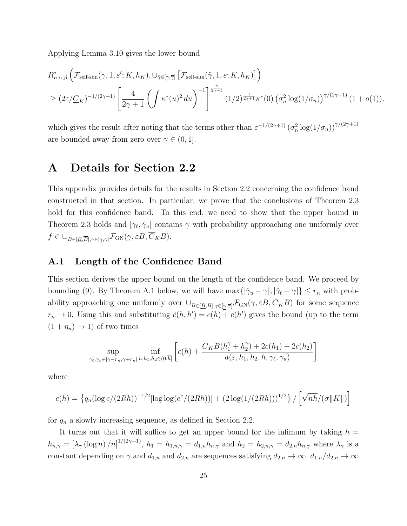Applying Lemma 3.10 gives the lower bound

$$
R_{n,\alpha,\beta}^{*}\left(\mathcal{F}_{\text{self-sim}}(\gamma,1,\varepsilon';K,\overline{h}_{K}),\cup_{\tilde{\gamma}\in[\underline{\gamma},\overline{\gamma}]} \left[\mathcal{F}_{\text{self-sim}}(\tilde{\gamma},1,\varepsilon;K,\overline{h}_{K})\right]\right)
$$
  

$$
\geq (2\varepsilon/\underline{C}_{K})^{-1/(2\gamma+1)}\left[\frac{4}{2\gamma+1}\left(\int \kappa^{*}(u)^{2} du\right)^{-1}\right]^{\frac{\gamma}{2\gamma+1}}(1/2)^{\frac{1}{2\gamma+1}}\kappa^{*}(0)\left(\sigma_{n}^{2}\log(1/\sigma_{n})\right)^{\gamma/(2\gamma+1)}(1+o(1)).
$$

which gives the result after noting that the terms other than  $\varepsilon^{-1/(2\gamma+1)} (\sigma_n^2 \log(1/\sigma_n))^{\gamma/(2\gamma+1)}$ are bounded away from zero over  $\gamma \in (0,1]$ .

# A Details for Section 2.2

This appendix provides details for the results in Section 2.2 concerning the confidence band constructed in that section. In particular, we prove that the conclusions of Theorem 2.3 hold for this confidence band. To this end, we need to show that the upper bound in Theorem 2.3 holds and  $[\hat{\gamma}_{\ell}, \hat{\gamma}_{u}]$  contains  $\gamma$  with probability approaching one uniformly over  $f \in \bigcup_{B \in [B,\overline{B}], \gamma \in [\gamma,\overline{\gamma}]} \mathcal{F}_{\text{GN}}(\gamma, \varepsilon B, \overline{C}_K B).$ 

### A.1 Length of the Confidence Band

This section derives the upper bound on the length of the confidence band. We proceed by bounding (9). By Theorem A.1 below, we will have  $\max\{|\hat{\gamma}_u - \gamma|, |\hat{\gamma}_\ell - \gamma|\} \leq r_n$  with probability approaching one uniformly over  $\cup_{B\in[\underline{B},\overline{B}],\gamma\in[\gamma,\overline{\gamma}]}$   $\mathcal{F}_{\text{GN}}(\gamma,\varepsilon B,\overline{C}_K B)$  for some sequence  $r_n \to 0$ . Using this and substituting  $\tilde{c}(h, h') = c(h) + c(h')$  gives the bound (up to the term  $(1 + \eta_n) \rightarrow 1$  of two times

$$
\sup_{\gamma_{\ell},\gamma_{u}\in[\gamma-r_{n},\gamma+r_{n}]}\inf_{h,h_{1},h_{2}\in(0,\overline{h}]}\left[c(h)+\frac{\overline{C}_{K}B(h_{1}^{\gamma}+h_{2}^{\gamma})+2c(h_{1})+2c(h_{2})}{a(\varepsilon,h_{1},h_{2},h,\gamma_{\ell},\gamma_{u})}\right]
$$

where

$$
c(h) = \left\{ q_n (\log e/(2Rh))^{-1/2} [\log \log(e^e/(2Rh))] + (2 \log(1/(2Rh)))^{1/2} \right\} / \left[ \sqrt{n h}/(\sigma ||K||) \right]
$$

for  $q_n$  a slowly increasing sequence, as defined in Section 2.2.

It turns out that it will suffice to get an upper bound for the infimum by taking  $h =$  $h_{n,\gamma} = [\lambda_{\gamma} (\log n)/n]^{1/(2\gamma+1)}$ ,  $h_1 = h_{1,n,\gamma} = d_{1,n}h_{n,\gamma}$  and  $h_2 = h_{2,n,\gamma} = d_{2,n}h_{n,\gamma}$  where  $\lambda_{\gamma}$  is a constant depending on  $\gamma$  and  $d_{1,n}$  and  $d_{2,n}$  are sequences satisfying  $d_{2,n} \to \infty$ ,  $d_{1,n}/d_{2,n} \to \infty$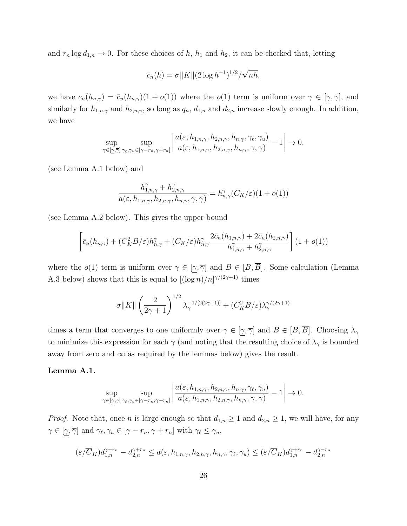and  $r_n \log d_{1,n} \to 0$ . For these choices of h,  $h_1$  and  $h_2$ , it can be checked that, letting

$$
\bar{c}_n(h) = \sigma ||K|| (2 \log h^{-1})^{1/2} / \sqrt{nh},
$$

we have  $c_n(h_{n,\gamma}) = \bar{c}_n(h_{n,\gamma})(1 + o(1))$  where the  $o(1)$  term is uniform over  $\gamma \in [\gamma, \overline{\gamma}]$ , and similarly for  $h_{1,n,\gamma}$  and  $h_{2,n,\gamma}$ , so long as  $q_n$ ,  $d_{1,n}$  and  $d_{2,n}$  increase slowly enough. In addition, we have

$$
\sup_{\gamma \in [\underline{\gamma}, \overline{\gamma}]}\sup_{\gamma_{\ell}, \gamma_{u} \in [\gamma - r_{n}, \gamma + r_{n}]} \left| \frac{a(\varepsilon, h_{1,n,\gamma}, h_{2,n,\gamma}, h_{n,\gamma}, \gamma_{\ell}, \gamma_{u})}{a(\varepsilon, h_{1,n,\gamma}, h_{2,n,\gamma}, h_{n,\gamma}, \gamma, \gamma)} - 1 \right| \to 0.
$$

(see Lemma A.1 below) and

$$
\frac{h_{1,n,\gamma}^{\gamma}+h_{2,n,\gamma}^{\gamma}}{a(\varepsilon,h_{1,n,\gamma},h_{2,n,\gamma},h_{n,\gamma},\gamma,\gamma)}=h_{n,\gamma}^{\gamma}(C_K/\varepsilon)(1+o(1))
$$

(see Lemma A.2 below). This gives the upper bound

$$
\left[\bar{c}_n(h_{n,\gamma}) + (C_K^2 B/\varepsilon)h_{n,\gamma}^{\gamma} + (C_K/\varepsilon)h_{n,\gamma}^{\gamma}\frac{2\bar{c}_n(h_{1,n,\gamma}) + 2\bar{c}_n(h_{2,n,\gamma})}{h_{1,n,\gamma}^{\gamma} + h_{2,n,\gamma}^{\gamma}}\right](1+o(1))
$$

where the  $o(1)$  term is uniform over  $\gamma \in [\underline{\gamma}, \overline{\gamma}]$  and  $B \in [\underline{B}, \overline{B}]$ . Some calculation (Lemma A.3 below) shows that this is equal to  $[(\log n)/n]^{\gamma/(2\gamma+1)}$  times

$$
\sigma \|K\| \left(\frac{2}{2\gamma+1}\right)^{1/2} \lambda_\gamma^{-1/[2(2\gamma+1)]} + (C_K^2 B/\varepsilon) \lambda_\gamma^{\gamma/(2\gamma+1)}
$$

times a term that converges to one uniformly over  $\gamma \in [\gamma, \overline{\gamma}]$  and  $B \in [\underline{B}, \overline{B}]$ . Choosing  $\lambda_{\gamma}$ to minimize this expression for each  $\gamma$  (and noting that the resulting choice of  $\lambda_{\gamma}$  is bounded away from zero and  $\infty$  as required by the lemmas below) gives the result.

#### Lemma A.1.

$$
\sup_{\gamma \in [\underline{\gamma}, \overline{\gamma}]}\sup_{\gamma_{\ell}, \gamma_{u} \in [\gamma - r_{n}, \gamma + r_{n}]} \left| \frac{a(\varepsilon, h_{1,n,\gamma}, h_{2,n,\gamma}, h_{n,\gamma}, \gamma_{\ell}, \gamma_{u})}{a(\varepsilon, h_{1,n,\gamma}, h_{2,n,\gamma}, h_{n,\gamma}, \gamma, \gamma)} - 1 \right| \to 0.
$$

*Proof.* Note that, once *n* is large enough so that  $d_{1,n} \geq 1$  and  $d_{2,n} \geq 1$ , we will have, for any  $\gamma \in [\gamma, \overline{\gamma}]$  and  $\gamma_{\ell}, \gamma_u \in [\gamma - r_n, \gamma + r_n]$  with  $\gamma_{\ell} \leq \gamma_u$ ,

$$
(\varepsilon/\overline{C}_K)d_{1,n}^{\gamma-r_n} - d_{2,n}^{\gamma+r_n} \le a(\varepsilon, h_{1,n,\gamma}, h_{2,n,\gamma}, h_{n,\gamma}, \gamma_\ell, \gamma_u) \le (\varepsilon/\overline{C}_K)d_{1,n}^{\gamma+r_n} - d_{2,n}^{\gamma-r_n}
$$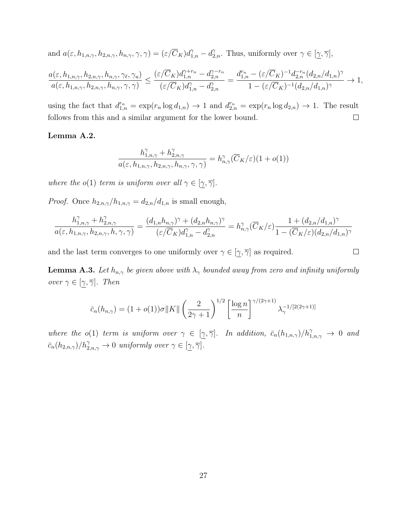and  $a(\varepsilon, h_{1,n,\gamma}, h_{2,n,\gamma}, h_{n,\gamma}, \gamma, \gamma) = (\varepsilon/\overline{C}_K) d_{1,n}^{\gamma} - d_{2,n}^{\gamma}$ . Thus, uniformly over  $\gamma \in [\gamma, \overline{\gamma}]$ ,

$$
\frac{a(\varepsilon,h_{1,n,\gamma},h_{2,n,\gamma},h_{n,\gamma},\gamma_{\ell},\gamma_u)}{a(\varepsilon,h_{1,n,\gamma},h_{2,n,\gamma},h_{n,\gamma},\gamma,\gamma)} \leq \frac{(\varepsilon/\overline{C}_K)d_{1,n}^{\gamma+r_n} - d_{2,n}^{\gamma-r_n}}{(\varepsilon/\overline{C}_K)d_{1,n}^{\gamma} - d_{2,n}^{\gamma}} = \frac{d_{1,n}^{r_n} - (\varepsilon/\overline{C}_K)^{-1}d_{2,n}^{-r_n}(d_{2,n}/d_{1,n})^{\gamma}}{1 - (\varepsilon/\overline{C}_K)^{-1}(d_{2,n}/d_{1,n})^{\gamma}} \to 1,
$$

using the fact that  $d_{1,n}^{r_n} = \exp(r_n \log d_{1,n}) \to 1$  and  $d_{2,n}^{r_n} = \exp(r_n \log d_{2,n}) \to 1$ . The result follows from this and a similar argument for the lower bound.  $\Box$ 

#### Lemma A.2.

$$
\frac{h_{1,n,\gamma}^{\gamma} + h_{2,n,\gamma}^{\gamma}}{a(\varepsilon, h_{1,n,\gamma}, h_{2,n,\gamma}, h_{n,\gamma}, \gamma, \gamma)} = h_{n,\gamma}^{\gamma}(\overline{C}_K/\varepsilon)(1 + o(1))
$$

where the o(1) term is uniform over all  $\gamma \in [\gamma, \overline{\gamma}]$ .

*Proof.* Once  $h_{2,n,\gamma}/h_{1,n,\gamma} = d_{2,n}/d_{1,n}$  is small enough,

$$
\frac{h_{1,n,\gamma}^\gamma+h_{2,n,\gamma}^\gamma}{a(\varepsilon,h_{1,n,\gamma},h_{2,n,\gamma},h,\gamma,\gamma)}=\frac{(d_{1,n}h_{n,\gamma})^\gamma+(d_{2,n}h_{n,\gamma})^\gamma}{(\varepsilon/\overline{C}_K)d_{1,n}^\gamma-d_{2,n}^\gamma}=h_{n,\gamma}^\gamma(\overline{C}_K/\varepsilon)\frac{1+(d_{2,n}/d_{1,n})^\gamma}{1-(\overline{C}_K/\varepsilon)(d_{2,n}/d_{1,n})^\gamma}
$$

and the last term converges to one uniformly over  $\gamma \in [\underline{\gamma}, \overline{\gamma}]$  as required.

**Lemma A.3.** Let  $h_{n,\gamma}$  be given above with  $\lambda_{\gamma}$  bounded away from zero and infinity uniformly *over*  $\gamma \in [\underline{\gamma}, \overline{\gamma}]$ . *Then* 

$$
\bar{c}_n(h_{n,\gamma}) = (1 + o(1))\sigma \|K\| \left(\frac{2}{2\gamma + 1}\right)^{1/2} \left[\frac{\log n}{n}\right]^{\gamma/(2\gamma + 1)} \lambda_{\gamma}^{-1/[2(2\gamma + 1)]}
$$

where the o(1) term is uniform over  $\gamma \in [\gamma, \overline{\gamma}]$ . In addition,  $\bar{c}_n(h_{1,n,\gamma})/h_{1,n,\gamma}^{\gamma} \to 0$  and  $\bar{c}_n(h_{2,n,\gamma})/h_{2,n,\gamma}^{\gamma} \to 0$  uniformly over  $\gamma \in [\gamma, \overline{\gamma}].$ 

 $\Box$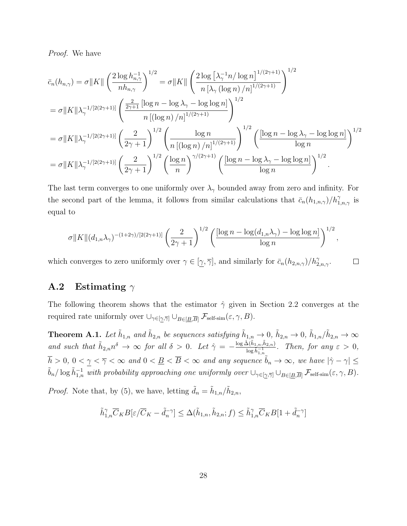Proof. We have

$$
\bar{c}_{n}(h_{n,\gamma}) = \sigma ||K|| \left(\frac{2 \log h_{n,\gamma}^{-1}}{nh_{n,\gamma}}\right)^{1/2} = \sigma ||K|| \left(\frac{2 \log \left[\lambda_{\gamma}^{-1} n/\log n\right]^{1/(2\gamma+1)}}{n \left[\lambda_{\gamma} (\log n)/n\right]^{1/(2\gamma+1)}}\right)^{1/2}
$$
\n
$$
= \sigma ||K|| \lambda_{\gamma}^{-1/[2(2\gamma+1)]} \left(\frac{\frac{2}{2\gamma+1} \left[\log n - \log \lambda_{\gamma} - \log \log n\right]}{n \left[(\log n)/n\right]^{1/(2\gamma+1)}}\right)^{1/2}
$$
\n
$$
= \sigma ||K|| \lambda_{\gamma}^{-1/[2(2\gamma+1)]} \left(\frac{2}{2\gamma+1}\right)^{1/2} \left(\frac{\log n}{n \left[(\log n)/n\right]^{1/(2\gamma+1)}}\right)^{1/2} \left(\frac{[\log n - \log \lambda_{\gamma} - \log \log n]}{\log n}\right)^{1/2}
$$
\n
$$
= \sigma ||K|| \lambda_{\gamma}^{-1/[2(2\gamma+1)]} \left(\frac{2}{2\gamma+1}\right)^{1/2} \left(\frac{\log n}{n}\right)^{\gamma/(2\gamma+1)} \left(\frac{[\log n - \log \lambda_{\gamma} - \log \log n]}{\log n}\right)^{1/2}.
$$

The last term converges to one uniformly over  $\lambda_{\gamma}$  bounded away from zero and infinity. For the second part of the lemma, it follows from similar calculations that  $\bar{c}_n(h_{1,n,\gamma})/h_{1,n,\gamma}^{\gamma}$  is equal to

$$
\sigma ||K||(d_{1,n}\lambda_{\gamma})^{-(1+2\gamma)/(2(2\gamma+1))}\left(\frac{2}{2\gamma+1}\right)^{1/2}\left(\frac{[\log n-\log(d_{1,n}\lambda_{\gamma})-\log\log n]}{\log n}\right)^{1/2},
$$

which converges to zero uniformly over  $\gamma \in [\gamma, \overline{\gamma}]$ , and similarly for  $\bar{c}_n(h_{2,n,\gamma})/h_{2,n,\gamma}^{\gamma}$ .  $\Box$ 

## **A.2** Estimating  $\gamma$

The following theorem shows that the estimator  $\hat{\gamma}$  given in Section 2.2 converges at the required rate uniformly over  $\cup_{\gamma \in [\gamma, \overline{\gamma}]} \cup_{B \in [\underline{B}, \overline{B}]} \mathcal{F}_{\text{self-sim}}(\varepsilon, \gamma, B).$ 

**Theorem A.1.** Let  $\tilde{h}_{1,n}$  and  $\tilde{h}_{2,n}$  be sequences satisfying  $\tilde{h}_{1,n} \to 0$ ,  $\tilde{h}_{2,n} \to 0$ ,  $\tilde{h}_{1,n}/\tilde{h}_{2,n} \to \infty$ and such that  $\tilde{h}_{2,n}n^{\delta} \to \infty$  for all  $\delta > 0$ . Let  $\hat{\gamma} = -\frac{\log \hat{\Delta}(\tilde{h}_{1,n},\tilde{h}_{2,n})}{\log \tilde{h}^{-1}}$  $\frac{\Delta(n_1,n,n_2,n)}{\log \tilde{h}_{1,n}^{-1}}$ . Then, for any  $\varepsilon > 0$ ,  $h > 0, 0 < \gamma < \overline{\gamma} < \infty$  and  $0 < \underline{B} < \overline{B} < \infty$  and any sequence  $\tilde{b}_n \to \infty$ , we have  $|\hat{\gamma} - \gamma| \leq$  $\tilde{b}_n/\log \tilde{h}_{1,n}^{-1}$  with probability approaching one uniformly over  $\bigcup_{\gamma\in[\gamma,\overline{\gamma}]} \bigcup_{B\in[\underline{B},\overline{B}]} \mathcal{F}_{\text{self-sim}}(\varepsilon,\gamma,B).$ 

*Proof.* Note that, by (5), we have, letting  $\tilde{d}_n = \tilde{h}_{1,n}/\tilde{h}_{2,n}$ ,

$$
\tilde{h}_{1,n}^{\gamma}\overline{C}_{K}B[\varepsilon/\overline{C}_{K}-\tilde{d}_{n}^{-\gamma}] \leq \Delta(\tilde{h}_{1,n},\tilde{h}_{2,n};f) \leq \tilde{h}_{1,n}^{\gamma}\overline{C}_{K}B[1+\tilde{d}_{n}^{-\gamma}]
$$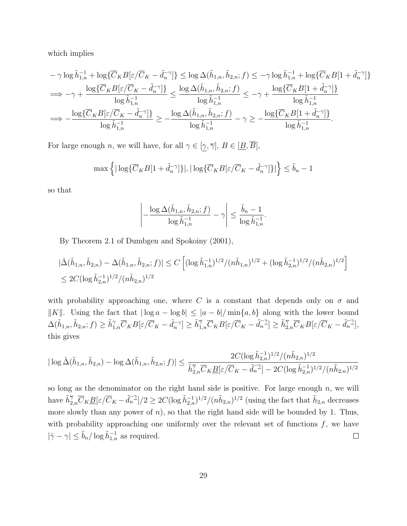which implies

$$
\begin{aligned} &-\gamma\log\tilde{h}_{1,n}^{-1}+\log\{\overline{C}_{K}B[\varepsilon/\overline{C}_{K}-\tilde{d}_{n}^{-\gamma}]\}\leq\log\Delta(\tilde{h}_{1,n},\tilde{h}_{2,n};f)\leq-\gamma\log\tilde{h}_{1,n}^{-1}+\log\{\overline{C}_{K}B[1+\tilde{d}_{n}^{-\gamma}]\}\\ &\Longrightarrow -\gamma+\frac{\log\{\overline{C}_{K}B[\varepsilon/\overline{C}_{K}-\tilde{d}_{n}^{-\gamma}]\}}{\log\tilde{h}_{1,n}^{-1}}\leq\frac{\log\Delta(\tilde{h}_{1,n},\tilde{h}_{2,n};f)}{\log\tilde{h}_{1,n}^{-1}}\leq-\gamma+\frac{\log\{\overline{C}_{K}B[1+\tilde{d}_{n}^{-\gamma}]\}}{\log\tilde{h}_{1,n}^{-1}}\\ &\Longrightarrow -\frac{\log\{\overline{C}_{K}B[\varepsilon/\overline{C}_{K}-\tilde{d}_{n}^{-\gamma}]\}}{\log\tilde{h}_{1,n}^{-1}}\geq-\frac{\log\Delta(\tilde{h}_{1,n},\tilde{h}_{2,n};f)}{\log\tilde{h}_{1,n}^{-1}}-\gamma\geq-\frac{\log\{\overline{C}_{K}B[1+\tilde{d}_{n}^{-\gamma}]\}}{\log\tilde{h}_{1,n}^{-1}}. \end{aligned}
$$

For large enough *n*, we will have, for all  $\gamma \in [\underline{\gamma}, \overline{\gamma}], B \in [\underline{B}, \overline{B}],$ 

$$
\max\left\{|\log\{\overline{C}_K B[1+\tilde{d}_n^{-\gamma}]\}|, |\log\{\overline{C}_K B[\varepsilon/\overline{C}_K-\tilde{d}_n^{-\gamma}]\}|\right\} \le \tilde{b}_n - 1
$$

so that

$$
\left| -\frac{\log \Delta(\tilde{h}_{1,n}, \tilde{h}_{2,n}; f)}{\log \tilde{h}_{1,n}^{-1}} - \gamma \right| \le \frac{\tilde{b}_n - 1}{\log \tilde{h}_{1,n}^{-1}}.
$$

By Theorem 2.1 of Dumbgen and Spokoiny (2001),

$$
\begin{aligned} & |\hat{\Delta}(\tilde{h}_{1,n},\tilde{h}_{2,n}) - \Delta(\tilde{h}_{1,n},\tilde{h}_{2,n};f)| \le C \left[ (\log \tilde{h}_{1,n}^{-1})^{1/2} / (n\tilde{h}_{1,n})^{1/2} + (\log \tilde{h}_{2,n}^{-1})^{1/2} / (n\tilde{h}_{2,n})^{1/2} \right] \\ &\le 2C (\log \tilde{h}_{2,n}^{-1})^{1/2} / (n\tilde{h}_{2,n})^{1/2} \end{aligned}
$$

with probability approaching one, where C is a constant that depends only on  $\sigma$  and  $||K||$ . Using the fact that  $|\log a - \log b|$  ≤  $|a - b|/\min\{a, b\}$  along with the lower bound  $\Delta(\tilde{h}_{1,n},\tilde{h}_{2,n};f)\geq \tilde{h}_{1,n}^{\gamma}\overline{C}_{K}B[\varepsilon/\overline{C}_{K}-\tilde{d}_{n}^{-\gamma}]\geq \tilde{h}_{1,n}^{\gamma}\overline{C}_{K}B[\varepsilon/\overline{C}_{K}-\tilde{d}_{n}^{-\gamma}] \geq \tilde{h}_{2,n}^{\gamma}\overline{C}_{K}B[\varepsilon/\overline{C}_{K}-\tilde{d}_{n}^{-\gamma}],$ this gives

$$
|\log\hat{\Delta}(\tilde{h}_{1,n},\tilde{h}_{2,n}) - \log\Delta(\tilde{h}_{1,n},\tilde{h}_{2,n};f)| \leq \frac{2C(\log\tilde{h}_{2,n}^{-1})^{1/2}/(n\tilde{h}_{2,n})^{1/2}}{\tilde{h}_{2,n}^{\overline{\gamma}}\overline{C}_{K} \underline{B}[\varepsilon/\overline{C}_{K} - \tilde{d}_{n}^{-\underline{\gamma}}]-2C(\log\tilde{h}_{2,n}^{-1})^{1/2}/(n\tilde{h}_{2,n})^{1/2}}
$$

so long as the denominator on the right hand side is positive. For large enough  $n$ , we will have  $\tilde{h}_{2,n}^{\overline{\gamma}}\overline{C}_{K}\underline{B}[\varepsilon/\overline{C}_{K}-\tilde{d}_{n}^{-1}]/2 \geq 2C(\log \tilde{h}_{2,n}^{-1})^{1/2}/(n\tilde{h}_{2,n})^{1/2}$  (using the fact that  $\tilde{h}_{2,n}$  decreases more slowly than any power of  $n$ ), so that the right hand side will be bounded by 1. Thus, with probability approaching one uniformly over the relevant set of functions  $f$ , we have  $|\hat{\gamma} - \gamma| \leq \tilde{b}_n / \log \tilde{h}_{1,n}^{-1}$  as required.  $\Box$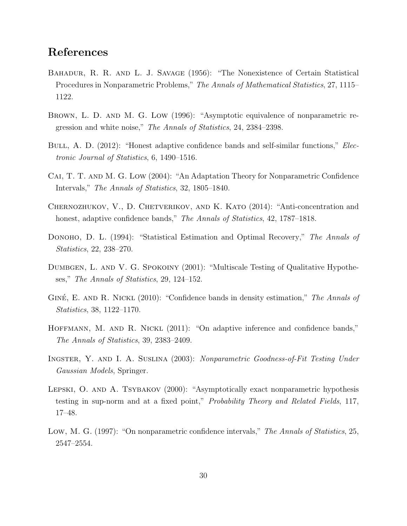# References

- BAHADUR, R. R. AND L. J. SAVAGE (1956): "The Nonexistence of Certain Statistical Procedures in Nonparametric Problems," The Annals of Mathematical Statistics, 27, 1115– 1122.
- Brown, L. D. and M. G. Low (1996): "Asymptotic equivalence of nonparametric regression and white noise," The Annals of Statistics, 24, 2384–2398.
- BULL, A. D. (2012): "Honest adaptive confidence bands and self-similar functions," *Elec*tronic Journal of Statistics, 6, 1490–1516.
- Cai, T. T. and M. G. Low (2004): "An Adaptation Theory for Nonparametric Confidence Intervals," The Annals of Statistics, 32, 1805–1840.
- CHERNOZHUKOV, V., D. CHETVERIKOV, AND K. KATO (2014): "Anti-concentration and honest, adaptive confidence bands," The Annals of Statistics, 42, 1787-1818.
- DONOHO, D. L. (1994): "Statistical Estimation and Optimal Recovery," The Annals of Statistics, 22, 238–270.
- DUMBGEN, L. AND V. G. SPOKOINY (2001): "Multiscale Testing of Qualitative Hypotheses," The Annals of Statistics, 29, 124–152.
- GINÉ, E. AND R. NICKL  $(2010)$ : "Confidence bands in density estimation," The Annals of Statistics, 38, 1122–1170.
- HOFFMANN, M. AND R. NICKL (2011): "On adaptive inference and confidence bands," The Annals of Statistics, 39, 2383–2409.
- Ingster, Y. and I. A. Suslina (2003): Nonparametric Goodness-of-Fit Testing Under Gaussian Models, Springer.
- Lepski, O. and A. Tsybakov (2000): "Asymptotically exact nonparametric hypothesis testing in sup-norm and at a fixed point," Probability Theory and Related Fields, 117, 17–48.
- Low, M. G. (1997): "On nonparametric confidence intervals," The Annals of Statistics, 25, 2547–2554.